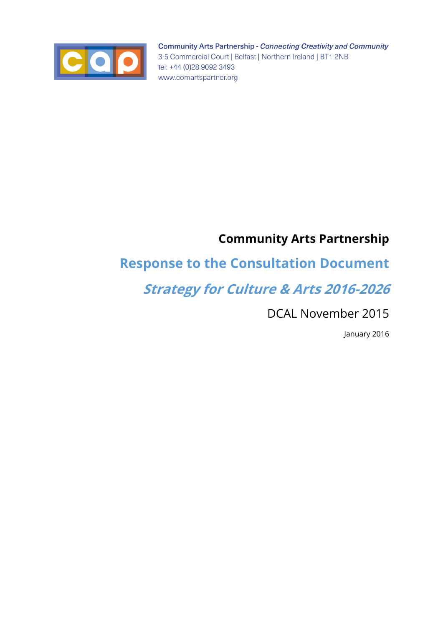

**Community Arts Partnership - Connecting Creativity and Community** 3-5 Commercial Court | Belfast | Northern Ireland | BT1 2NB tel: +44 (0)28 9092 3493 www.comartspartner.org

# **Community Arts Partnership**

# **Response to the Consultation Document**

# **Strategy for Culture & Arts 2016-2026**

DCAL November 2015

January 2016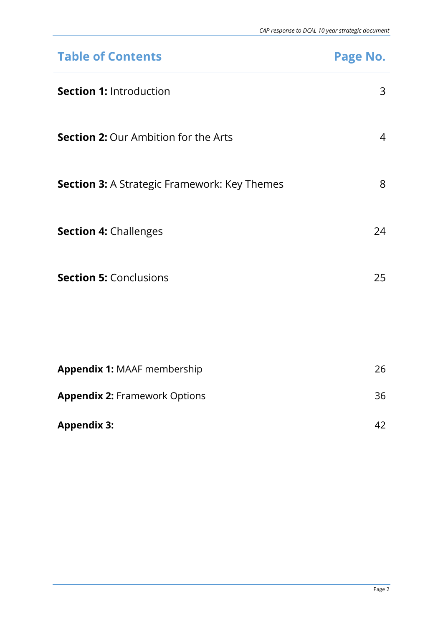| <b>Table of Contents</b>                            | Page No.       |
|-----------------------------------------------------|----------------|
| <b>Section 1: Introduction</b>                      | 3              |
| <b>Section 2: Our Ambition for the Arts</b>         | $\overline{4}$ |
| <b>Section 3:</b> A Strategic Framework: Key Themes | 8              |
| <b>Section 4: Challenges</b>                        | 24             |
| <b>Section 5: Conclusions</b>                       | 25             |
|                                                     |                |
| <b>Appendix 1: MAAF membership</b>                  | 26             |
| <b>Appendix 2: Framework Options</b>                | 36             |
| <b>Appendix 3:</b>                                  | 42             |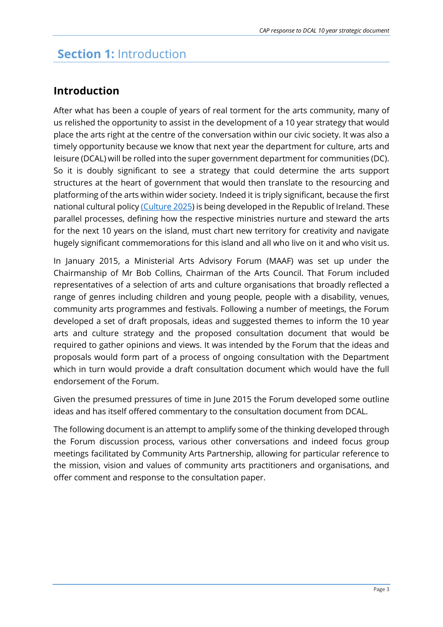### **Section 1:** Introduction

### **Introduction**

After what has been a couple of years of real torment for the arts community, many of us relished the opportunity to assist in the development of a 10 year strategy that would place the arts right at the centre of the conversation within our civic society. It was also a timely opportunity because we know that next year the department for culture, arts and leisure (DCAL) will be rolled into the super government department for communities (DC). So it is doubly significant to see a strategy that could determine the arts support structures at the heart of government that would then translate to the resourcing and platforming of the arts within wider society. Indeed it is triply significant, because the first national cultural polic[y \(Culture 2025\)](http://www.ahg.gov.ie/app/uploads/2015/09/culture2025_english_irish1.pdf) is being developed in the Republic of Ireland. These parallel processes, defining how the respective ministries nurture and steward the arts for the next 10 years on the island, must chart new territory for creativity and navigate hugely significant commemorations for this island and all who live on it and who visit us.

In January 2015, a Ministerial Arts Advisory Forum (MAAF) was set up under the Chairmanship of Mr Bob Collins, Chairman of the Arts Council. That Forum included representatives of a selection of arts and culture organisations that broadly reflected a range of genres including children and young people, people with a disability, venues, community arts programmes and festivals. Following a number of meetings, the Forum developed a set of draft proposals, ideas and suggested themes to inform the 10 year arts and culture strategy and the proposed consultation document that would be required to gather opinions and views. It was intended by the Forum that the ideas and proposals would form part of a process of ongoing consultation with the Department which in turn would provide a draft consultation document which would have the full endorsement of the Forum.

Given the presumed pressures of time in June 2015 the Forum developed some outline ideas and has itself offered commentary to the consultation document from DCAL.

The following document is an attempt to amplify some of the thinking developed through the Forum discussion process, various other conversations and indeed focus group meetings facilitated by Community Arts Partnership, allowing for particular reference to the mission, vision and values of community arts practitioners and organisations, and offer comment and response to the consultation paper.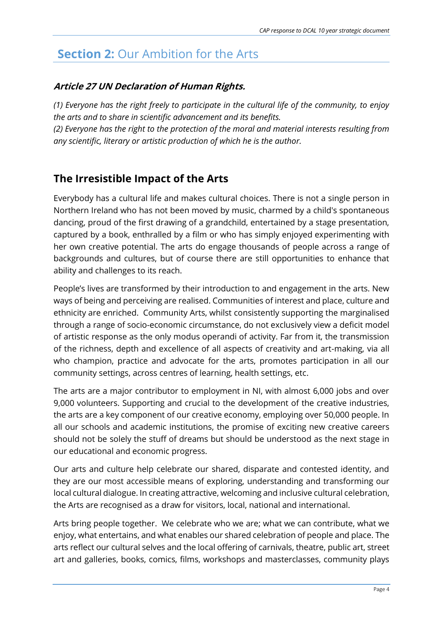# **Section 2: Our Ambition for the Arts**

### **Article 27 UN Declaration of Human Rights.**

*(1) Everyone has the right freely to participate in the cultural life of the community, to enjoy the arts and to share in scientific advancement and its benefits. (2) Everyone has the right to the protection of the moral and material interests resulting from any scientific, literary or artistic production of which he is the author.*

### **The Irresistible Impact of the Arts**

Everybody has a cultural life and makes cultural choices. There is not a single person in Northern Ireland who has not been moved by music, charmed by a child's spontaneous dancing, proud of the first drawing of a grandchild, entertained by a stage presentation, captured by a book, enthralled by a film or who has simply enjoyed experimenting with her own creative potential. The arts do engage thousands of people across a range of backgrounds and cultures, but of course there are still opportunities to enhance that ability and challenges to its reach.

People's lives are transformed by their introduction to and engagement in the arts. New ways of being and perceiving are realised. Communities of interest and place, culture and ethnicity are enriched. Community Arts, whilst consistently supporting the marginalised through a range of socio-economic circumstance, do not exclusively view a deficit model of artistic response as the only modus operandi of activity. Far from it, the transmission of the richness, depth and excellence of all aspects of creativity and art-making, via all who champion, practice and advocate for the arts, promotes participation in all our community settings, across centres of learning, health settings, etc.

The arts are a major contributor to employment in NI, with almost 6,000 jobs and over 9,000 volunteers. Supporting and crucial to the development of the creative industries, the arts are a key component of our creative economy, employing over 50,000 people. In all our schools and academic institutions, the promise of exciting new creative careers should not be solely the stuff of dreams but should be understood as the next stage in our educational and economic progress.

Our arts and culture help celebrate our shared, disparate and contested identity, and they are our most accessible means of exploring, understanding and transforming our local cultural dialogue. In creating attractive, welcoming and inclusive cultural celebration, the Arts are recognised as a draw for visitors, local, national and international.

Arts bring people together. We celebrate who we are; what we can contribute, what we enjoy, what entertains, and what enables our shared celebration of people and place. The arts reflect our cultural selves and the local offering of carnivals, theatre, public art, street art and galleries, books, comics, films, workshops and masterclasses, community plays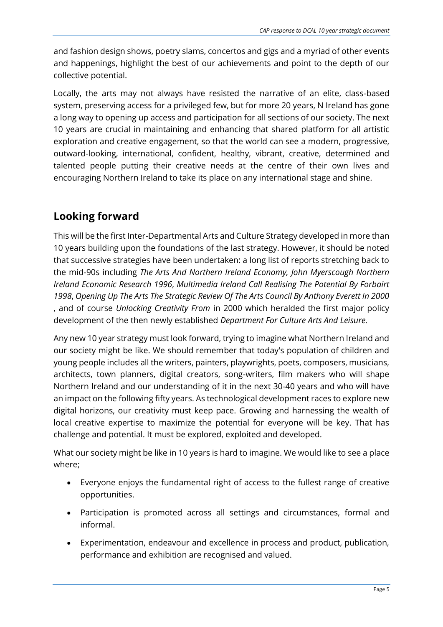and fashion design shows, poetry slams, concertos and gigs and a myriad of other events and happenings, highlight the best of our achievements and point to the depth of our collective potential.

Locally, the arts may not always have resisted the narrative of an elite, class-based system, preserving access for a privileged few, but for more 20 years, N Ireland has gone a long way to opening up access and participation for all sections of our society. The next 10 years are crucial in maintaining and enhancing that shared platform for all artistic exploration and creative engagement, so that the world can see a modern, progressive, outward-looking, international, confident, healthy, vibrant, creative, determined and talented people putting their creative needs at the centre of their own lives and encouraging Northern Ireland to take its place on any international stage and shine.

### **Looking forward**

This will be the first Inter-Departmental Arts and Culture Strategy developed in more than 10 years building upon the foundations of the last strategy. However, it should be noted that successive strategies have been undertaken: a long list of reports stretching back to the mid-90s including *The Arts And Northern Ireland Economy, John Myerscough Northern Ireland Economic Research 1996*, *Multimedia Ireland Call Realising The Potential By Forbairt 1998*, *Opening Up The Arts The Strategic Review Of The Arts Council By Anthony Everett In 2000*  , and of course *Unlocking Creativity From* in 2000 which heralded the first major policy development of the then newly established *Department For Culture Arts And Leisure.*

Any new 10 year strategy must look forward, trying to imagine what Northern Ireland and our society might be like. We should remember that today's population of children and young people includes all the writers, painters, playwrights, poets, composers, musicians, architects, town planners, digital creators, song-writers, film makers who will shape Northern Ireland and our understanding of it in the next 30-40 years and who will have an impact on the following fifty years. As technological development races to explore new digital horizons, our creativity must keep pace. Growing and harnessing the wealth of local creative expertise to maximize the potential for everyone will be key. That has challenge and potential. It must be explored, exploited and developed.

What our society might be like in 10 years is hard to imagine. We would like to see a place where;

- Everyone enjoys the fundamental right of access to the fullest range of creative opportunities.
- Participation is promoted across all settings and circumstances, formal and informal.
- Experimentation, endeavour and excellence in process and product, publication, performance and exhibition are recognised and valued.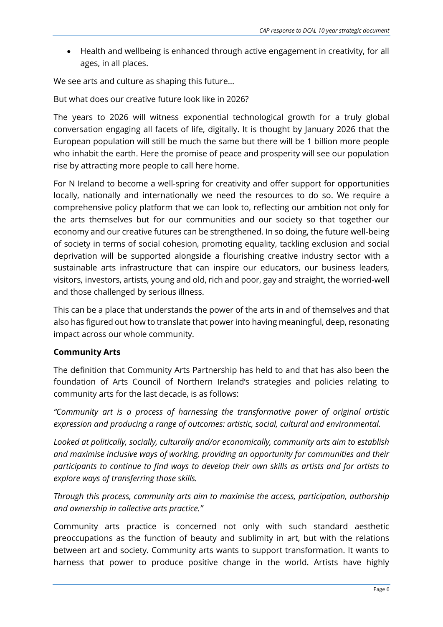Health and wellbeing is enhanced through active engagement in creativity, for all ages, in all places.

We see arts and culture as shaping this future…

But what does our creative future look like in 2026?

The years to 2026 will witness exponential technological growth for a truly global conversation engaging all facets of life, digitally. It is thought by January 2026 that the European population will still be much the same but there will be 1 billion more people who inhabit the earth. Here the promise of peace and prosperity will see our population rise by attracting more people to call here home.

For N Ireland to become a well-spring for creativity and offer support for opportunities locally, nationally and internationally we need the resources to do so. We require a comprehensive policy platform that we can look to, reflecting our ambition not only for the arts themselves but for our communities and our society so that together our economy and our creative futures can be strengthened. In so doing, the future well-being of society in terms of social cohesion, promoting equality, tackling exclusion and social deprivation will be supported alongside a flourishing creative industry sector with a sustainable arts infrastructure that can inspire our educators, our business leaders, visitors, investors, artists, young and old, rich and poor, gay and straight, the worried-well and those challenged by serious illness.

This can be a place that understands the power of the arts in and of themselves and that also has figured out how to translate that power into having meaningful, deep, resonating impact across our whole community.

#### **Community Arts**

The definition that Community Arts Partnership has held to and that has also been the foundation of Arts Council of Northern Ireland's strategies and policies relating to community arts for the last decade, is as follows:

*"Community art is a process of harnessing the transformative power of original artistic expression and producing a range of outcomes: artistic, social, cultural and environmental.*

*Looked at politically, socially, culturally and/or economically, community arts aim to establish and maximise inclusive ways of working, providing an opportunity for communities and their participants to continue to find ways to develop their own skills as artists and for artists to explore ways of transferring those skills.*

*Through this process, community arts aim to maximise the access, participation, authorship and ownership in collective arts practice."*

Community arts practice is concerned not only with such standard aesthetic preoccupations as the function of beauty and sublimity in art, but with the relations between art and society. Community arts wants to support transformation. It wants to harness that power to produce positive change in the world. Artists have highly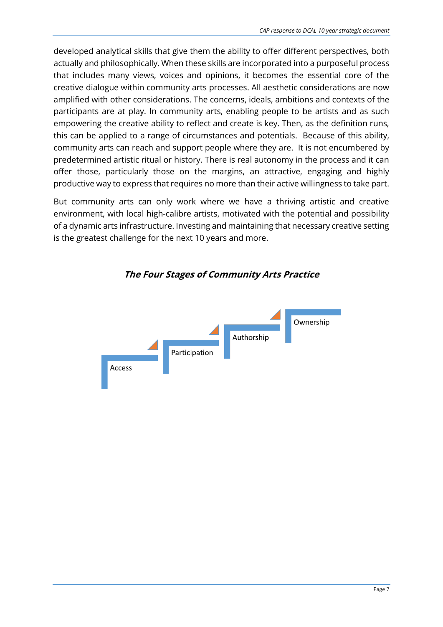developed analytical skills that give them the ability to offer different perspectives, both actually and philosophically. When these skills are incorporated into a purposeful process that includes many views, voices and opinions, it becomes the essential core of the creative dialogue within community arts processes. All aesthetic considerations are now amplified with other considerations. The concerns, ideals, ambitions and contexts of the participants are at play. In community arts, enabling people to be artists and as such empowering the creative ability to reflect and create is key. Then, as the definition runs, this can be applied to a range of circumstances and potentials. Because of this ability, community arts can reach and support people where they are. It is not encumbered by predetermined artistic ritual or history. There is real autonomy in the process and it can offer those, particularly those on the margins, an attractive, engaging and highly productive way to express that requires no more than their active willingness to take part.

But community arts can only work where we have a thriving artistic and creative environment, with local high-calibre artists, motivated with the potential and possibility of a dynamic arts infrastructure. Investing and maintaining that necessary creative setting is the greatest challenge for the next 10 years and more.



**The Four Stages of Community Arts Practice**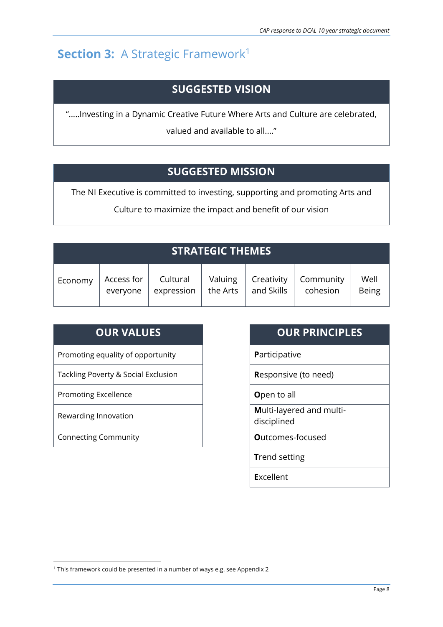# **Section 3: A Strategic Framework<sup>1</sup>**

### **SUGGESTED VISION**

".....Investing in a Dynamic Creative Future Where Arts and Culture are celebrated,

valued and available to all...."

### **SUGGESTED MISSION**

The NI Executive is committed to investing, supporting and promoting Arts and

Culture to maximize the impact and benefit of our vision

| <u>'STRATEGIC THEMES.</u> |            |            |          |            |           |              |
|---------------------------|------------|------------|----------|------------|-----------|--------------|
| Economy                   | Access for | Cultural   | Valuing  | Creativity | Community | Well         |
|                           | everyone   | expression | the Arts | and Skills | cohesion  | <b>Being</b> |

| <b>OUR VALUES</b>                   | <b>OUR PRINCIPLES</b>                   |
|-------------------------------------|-----------------------------------------|
| Promoting equality of opportunity   | <b>Participative</b>                    |
| Tackling Poverty & Social Exclusion | <b>Responsive (to need)</b>             |
| <b>Promoting Excellence</b>         | Open to all                             |
| Rewarding Innovation                | Multi-layered and multi-<br>disciplined |
| <b>Connecting Community</b>         | <b>O</b> utcomes-focused                |
|                                     | <b>Trend setting</b>                    |

**E**xcellent

1

<sup>1</sup> This framework could be presented in a number of ways e.g. see Appendix 2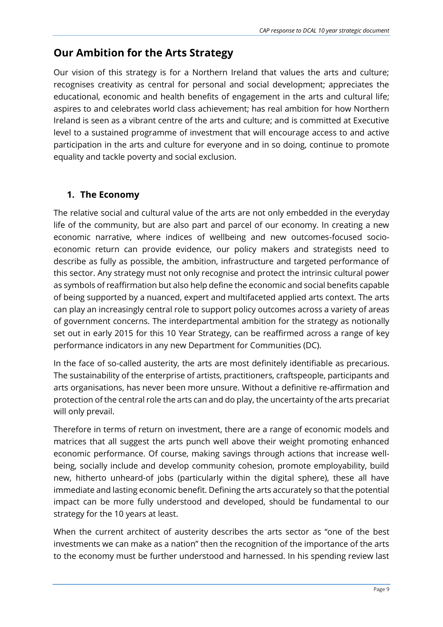### **Our Ambition for the Arts Strategy**

Our vision of this strategy is for a Northern Ireland that values the arts and culture; recognises creativity as central for personal and social development; appreciates the educational, economic and health benefits of engagement in the arts and cultural life; aspires to and celebrates world class achievement; has real ambition for how Northern Ireland is seen as a vibrant centre of the arts and culture; and is committed at Executive level to a sustained programme of investment that will encourage access to and active participation in the arts and culture for everyone and in so doing, continue to promote equality and tackle poverty and social exclusion.

### **1. The Economy**

The relative social and cultural value of the arts are not only embedded in the everyday life of the community, but are also part and parcel of our economy. In creating a new economic narrative, where indices of wellbeing and new outcomes-focused socioeconomic return can provide evidence, our policy makers and strategists need to describe as fully as possible, the ambition, infrastructure and targeted performance of this sector. Any strategy must not only recognise and protect the intrinsic cultural power as symbols of reaffirmation but also help define the economic and social benefits capable of being supported by a nuanced, expert and multifaceted applied arts context. The arts can play an increasingly central role to support policy outcomes across a variety of areas of government concerns. The interdepartmental ambition for the strategy as notionally set out in early 2015 for this 10 Year Strategy, can be reaffirmed across a range of key performance indicators in any new Department for Communities (DC).

In the face of so-called austerity, the arts are most definitely identifiable as precarious. The sustainability of the enterprise of artists, practitioners, craftspeople, participants and arts organisations, has never been more unsure. Without a definitive re-affirmation and protection of the central role the arts can and do play, the uncertainty of the arts precariat will only prevail.

Therefore in terms of return on investment, there are a range of economic models and matrices that all suggest the arts punch well above their weight promoting enhanced economic performance. Of course, making savings through actions that increase wellbeing, socially include and develop community cohesion, promote employability, build new, hitherto unheard-of jobs (particularly within the digital sphere), these all have immediate and lasting economic benefit. Defining the arts accurately so that the potential impact can be more fully understood and developed, should be fundamental to our strategy for the 10 years at least.

When the current architect of austerity describes the arts sector as "one of the best investments we can make as a nation" then the recognition of the importance of the arts to the economy must be further understood and harnessed. In his spending review last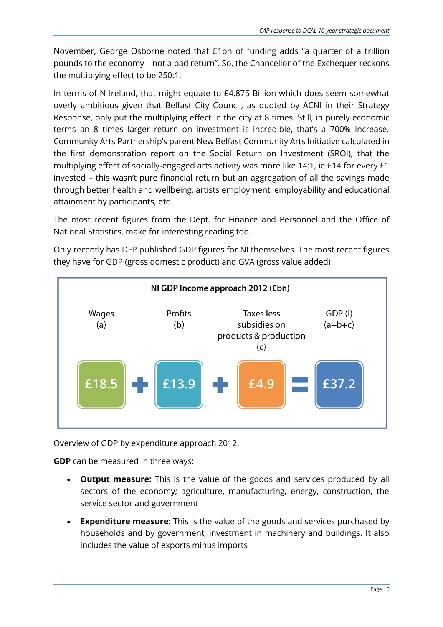November, George Osborne noted that £1bn of funding adds "a quarter of a trillion pounds to the economy – not a bad return". So, the Chancellor of the Exchequer reckons the multiplying effect to be 250:1.

In terms of N Ireland, that might equate to £4.875 Billion which does seem somewhat overly ambitious given that Belfast City Council, as quoted by ACNI in their Strategy Response, only put the multiplying effect in the city at 8 times. Still, in purely economic terms an 8 times larger return on investment is incredible, that's a 700% increase. Community Arts Partnership's parent New Belfast Community Arts Initiative calculated in the first demonstration report on the Social Return on Investment (SROI), that the multiplying effect of socially-engaged arts activity was more like 14:1, ie £14 for every £1 invested – this wasn't pure financial return but an aggregation of all the savings made through better health and wellbeing, artists employment, employability and educational attainment by participants, etc.

The most recent figures from the Dept. for Finance and Personnel and the Office of National Statistics, make for interesting reading too.

Only recently has DFP published GDP figures for NI themselves. The most recent figures they have for GDP (gross domestic product) and GVA (gross value added)



Overview of GDP by expenditure approach 2012.

**GDP** can be measured in three ways:

- **Output measure:** This is the value of the goods and services produced by all sectors of the economy; agriculture, manufacturing, energy, construction, the service sector and government
- **Expenditure measure:** This is the value of the goods and services purchased by households and by government, investment in machinery and buildings. It also includes the value of exports minus imports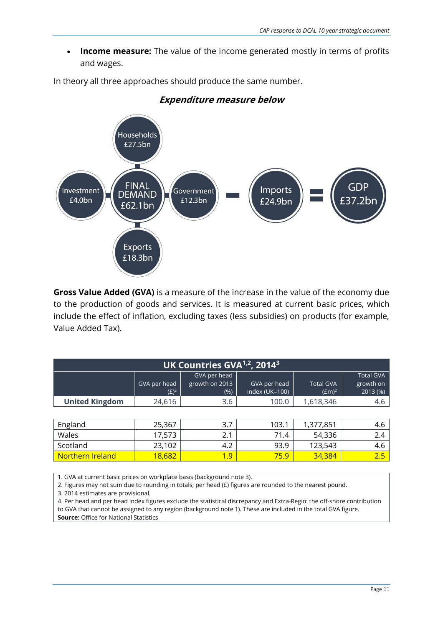**Income measure:** The value of the income generated mostly in terms of profits and wages.

In theory all three approaches should produce the same number.



#### **Expenditure measure below**

**Gross Value Added (GVA)** is a measure of the increase in the value of the economy due to the production of goods and services. It is measured at current basic prices, which include the effect of inflation, excluding taxes (less subsidies) on products (for example, Value Added Tax).

| UK Countries GVA <sup>1,2</sup> , 2014 <sup>3</sup> |                         |                                        |                                |                              |                                           |
|-----------------------------------------------------|-------------------------|----------------------------------------|--------------------------------|------------------------------|-------------------------------------------|
|                                                     | GVA per head<br>$(E)^2$ | GVA per head<br>growth on 2013<br>(% ) | GVA per head<br>index (UK=100) | <b>Total GVA</b><br>$(Em)^2$ | <b>Total GVA</b><br>growth on<br>2013 (%) |
| <b>United Kingdom</b>                               | 24,616                  | 3.6                                    | 100.0                          | 1,618,346                    | 4.6                                       |
|                                                     |                         |                                        |                                |                              |                                           |
| England                                             | 25,367                  | 3.7                                    | 103.1                          | 1,377,851                    | 4.6                                       |
| Wales                                               | 17,573                  | 2.1                                    | 71.4                           | 54,336                       | 2.4                                       |
| Scotland                                            | 23,102                  | 4.2                                    | 93.9                           | 123,543                      | 4.6                                       |
| Northern Ireland                                    | 18,682                  | 1.9                                    | 75.9                           | 34,384                       | 2.5                                       |

1. GVA at current basic prices on workplace basis (background note 3).

2. Figures may not sum due to rounding in totals; per head (£) figures are rounded to the nearest pound.

3. 2014 estimates are provisional.

4. Per head and per head index figures exclude the statistical discrepancy and Extra-Regio: the off-shore contribution to GVA that cannot be assigned to any region (background note 1). These are included in the total GVA figure. **Source:** Office for National Statistics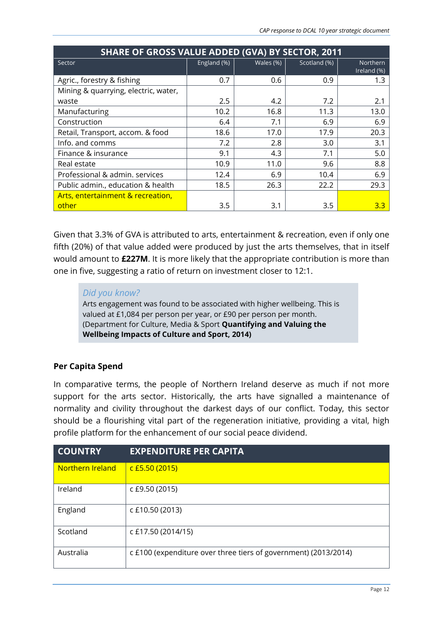| <b>SHARE OF GROSS VALUE ADDED (GVA) BY SECTOR, 2011</b> |             |           |              |                         |  |
|---------------------------------------------------------|-------------|-----------|--------------|-------------------------|--|
| Sector                                                  | England (%) | Wales (%) | Scotland (%) | Northern<br>Ireland (%) |  |
| Agric., forestry & fishing                              | 0.7         | 0.6       | 0.9          | 1.3                     |  |
| Mining & quarrying, electric, water,                    |             |           |              |                         |  |
| waste                                                   | 2.5         | 4.2       | 7.2          | 2.1                     |  |
| Manufacturing                                           | 10.2        | 16.8      | 11.3         | 13.0                    |  |
| Construction                                            | 6.4         | 7.1       | 6.9          | 6.9                     |  |
| Retail, Transport, accom. & food                        | 18.6        | 17.0      | 17.9         | 20.3                    |  |
| Info. and comms                                         | 7.2         | 2.8       | 3.0          | 3.1                     |  |
| Finance & insurance                                     | 9.1         | 4.3       | 7.1          | 5.0                     |  |
| Real estate                                             | 10.9        | 11.0      | 9.6          | 8.8                     |  |
| Professional & admin. services                          | 12.4        | 6.9       | 10.4         | 6.9                     |  |
| Public admin., education & health                       | 18.5        | 26.3      | 22.2         | 29.3                    |  |
| Arts, entertainment & recreation,                       |             |           |              |                         |  |
| other                                                   | 3.5         | 3.1       | 3.5          | 3.3                     |  |

Given that 3.3% of GVA is attributed to arts, entertainment & recreation, even if only one fifth (20%) of that value added were produced by just the arts themselves, that in itself would amount to **£227M**. It is more likely that the appropriate contribution is more than one in five, suggesting a ratio of return on investment closer to 12:1.

#### *Did you know?*

Arts engagement was found to be associated with higher wellbeing. This is valued at £1,084 per person per year, or £90 per person per month. (Department for Culture, Media & Sport **Quantifying and Valuing the Wellbeing Impacts of Culture and Sport, 2014)**

#### **Per Capita Spend**

In comparative terms, the people of Northern Ireland deserve as much if not more support for the arts sector. Historically, the arts have signalled a maintenance of normality and civility throughout the darkest days of our conflict. Today, this sector should be a flourishing vital part of the regeneration initiative, providing a vital, high profile platform for the enhancement of our social peace dividend.

| <b>COUNTRY</b>   | <b>EXPENDITURE PER CAPITA</b>                                   |
|------------------|-----------------------------------------------------------------|
| Northern Ireland | $c$ £5.50 (2015)                                                |
| Ireland          | c £9.50 (2015)                                                  |
| England          | c £10.50 (2013)                                                 |
| Scotland         | c £17.50 (2014/15)                                              |
| Australia        | c £100 (expenditure over three tiers of government) (2013/2014) |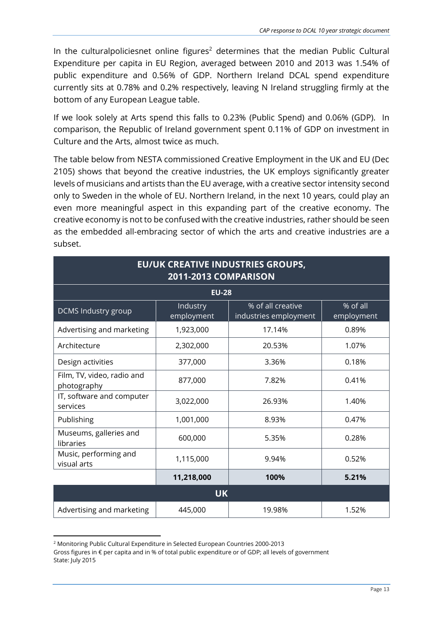In the culturalpoliciesnet online figures<sup>2</sup> determines that the median Public Cultural Expenditure per capita in EU Region, averaged between 2010 and 2013 was 1.54% of public expenditure and 0.56% of GDP. Northern Ireland DCAL spend expenditure currently sits at 0.78% and 0.2% respectively, leaving N Ireland struggling firmly at the bottom of any European League table.

If we look solely at Arts spend this falls to 0.23% (Public Spend) and 0.06% (GDP). In comparison, the Republic of Ireland government spent 0.11% of GDP on investment in Culture and the Arts, almost twice as much.

The table below from NESTA commissioned Creative Employment in the UK and EU (Dec 2105) shows that beyond the creative industries, the UK employs significantly greater levels of musicians and artists than the EU average, with a creative sector intensity second only to Sweden in the whole of EU. Northern Ireland, in the next 10 years, could play an even more meaningful aspect in this expanding part of the creative economy. The creative economy is not to be confused with the creative industries, rather should be seen as the embedded all-embracing sector of which the arts and creative industries are a subset.

| <b>EU/UK CREATIVE INDUSTRIES GROUPS,</b><br>2011-2013 COMPARISON |                        |                                            |                        |  |  |  |
|------------------------------------------------------------------|------------------------|--------------------------------------------|------------------------|--|--|--|
|                                                                  | <b>EU-28</b>           |                                            |                        |  |  |  |
| DCMS Industry group                                              | Industry<br>employment | % of all creative<br>industries employment | % of all<br>employment |  |  |  |
| Advertising and marketing                                        | 1,923,000              | 17.14%                                     | 0.89%                  |  |  |  |
| Architecture                                                     | 2,302,000              | 20.53%                                     | 1.07%                  |  |  |  |
| Design activities                                                | 377,000                | 3.36%                                      | 0.18%                  |  |  |  |
| Film, TV, video, radio and<br>photography                        | 877,000                | 7.82%                                      | 0.41%                  |  |  |  |
| IT, software and computer<br>services                            | 3,022,000              | 26.93%                                     | 1.40%                  |  |  |  |
| Publishing                                                       | 1,001,000              | 8.93%                                      | 0.47%                  |  |  |  |
| Museums, galleries and<br>libraries                              | 600,000                | 5.35%                                      | 0.28%                  |  |  |  |
| Music, performing and<br>visual arts                             | 1,115,000              | 9.94%                                      | 0.52%                  |  |  |  |
| 11,218,000<br>100%<br>5.21%                                      |                        |                                            |                        |  |  |  |
|                                                                  | <b>UK</b>              |                                            |                        |  |  |  |
| Advertising and marketing                                        | 445,000                | 19.98%                                     | 1.52%                  |  |  |  |

**<sup>.</sup>** <sup>2</sup> Monitoring Public Cultural Expenditure in Selected European Countries 2000-2013

Gross figures in € per capita and in % of total public expenditure or of GDP; all levels of government State: July 2015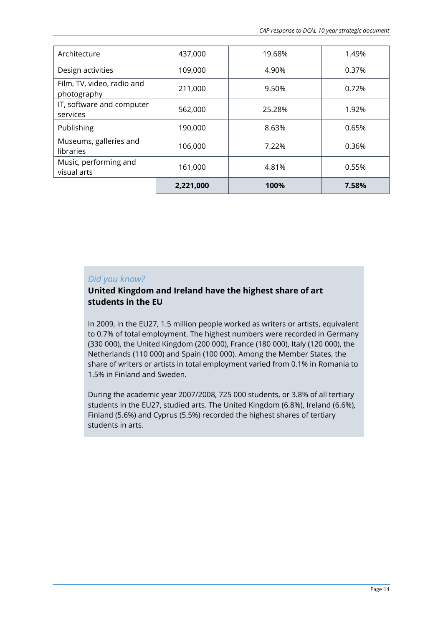| Architecture                              | 437,000   | 19.68% | 1.49% |
|-------------------------------------------|-----------|--------|-------|
| Design activities                         | 109,000   | 4.90%  | 0.37% |
| Film, TV, video, radio and<br>photography | 211,000   | 9.50%  | 0.72% |
| IT, software and computer<br>services     | 562,000   | 25.28% | 1.92% |
| Publishing                                | 190,000   | 8.63%  | 0.65% |
| Museums, galleries and<br>libraries       | 106,000   | 7.22%  | 0.36% |
| Music, performing and<br>visual arts      | 161,000   | 4.81%  | 0.55% |
|                                           | 2,221,000 | 100%   | 7.58% |

#### *Did you know?*

#### **United Kingdom and Ireland have the highest share of art students in the EU**

In 2009, in the EU27, 1.5 million people worked as writers or artists, equivalent to 0.7% of total employment. The highest numbers were recorded in Germany (330 000), the United Kingdom (200 000), France (180 000), Italy (120 000), the Netherlands (110 000) and Spain (100 000). Among the Member States, the share of writers or artists in total employment varied from 0.1% in Romania to 1.5% in Finland and Sweden.

During the academic year 2007/2008, 725 000 students, or 3.8% of all tertiary students in the EU27, studied arts. The United Kingdom (6.8%), Ireland (6.6%), Finland (5.6%) and Cyprus (5.5%) recorded the highest shares of tertiary students in arts.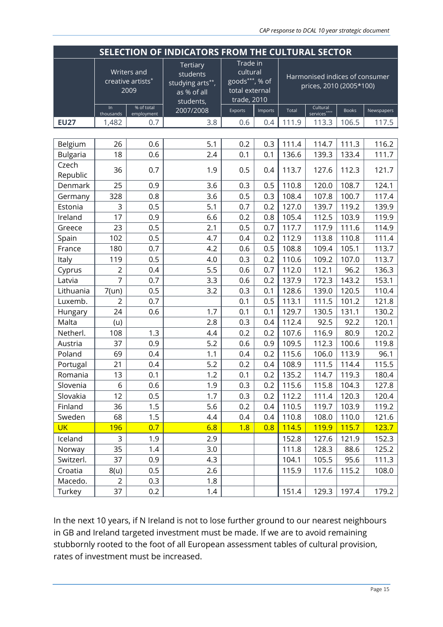| SELECTION OF INDICATORS FROM THE CULTURAL SECTOR |                    |                                                 |                                                                      |                                                                         |         |       |                                                           |              |            |
|--------------------------------------------------|--------------------|-------------------------------------------------|----------------------------------------------------------------------|-------------------------------------------------------------------------|---------|-------|-----------------------------------------------------------|--------------|------------|
|                                                  |                    | <b>Writers</b> and<br>creative artists*<br>2009 | Tertiary<br>students<br>studying arts**,<br>as % of all<br>students, | Trade in<br>cultural<br>goods***, % of<br>total external<br>trade, 2010 |         |       | Harmonised indices of consumer<br>prices, 2010 (2005*100) |              |            |
|                                                  | $\ln$<br>thousands | % of total<br>employment                        | 2007/2008                                                            | Exports                                                                 | Imports | Total | Cultural<br>services****                                  | <b>Books</b> | Newspapers |
| <b>EU27</b>                                      | 1,482              | 0.7                                             | 3.8                                                                  | 0.6                                                                     | 0.4     | 111.9 | 113.3                                                     | 106.5        | 117.5      |
|                                                  |                    |                                                 |                                                                      |                                                                         |         |       |                                                           |              |            |
| Belgium                                          | 26                 | 0.6                                             | 5.1                                                                  | 0.2                                                                     | 0.3     | 111.4 | 114.7                                                     | 111.3        | 116.2      |
| <b>Bulgaria</b>                                  | 18                 | 0.6                                             | 2.4                                                                  | 0.1                                                                     | 0.1     | 136.6 | 139.3                                                     | 133.4        | 111.7      |
| Czech<br>Republic                                | 36                 | 0.7                                             | 1.9                                                                  | 0.5                                                                     | 0.4     | 113.7 | 127.6                                                     | 112.3        | 121.7      |
| Denmark                                          | 25                 | 0.9                                             | 3.6                                                                  | 0.3                                                                     | 0.5     | 110.8 | 120.0                                                     | 108.7        | 124.1      |
| Germany                                          | 328                | 0.8                                             | 3.6                                                                  | 0.5                                                                     | 0.3     | 108.4 | 107.8                                                     | 100.7        | 117.4      |
| Estonia                                          | 3                  | 0.5                                             | 5.1                                                                  | 0.7                                                                     | 0.2     | 127.0 | 139.7                                                     | 119.2        | 139.9      |
| Ireland                                          | 17                 | 0.9                                             | 6.6                                                                  | 0.2                                                                     | 0.8     | 105.4 | 112.5                                                     | 103.9        | 119.9      |
| Greece                                           | 23                 | 0.5                                             | 2.1                                                                  | 0.5                                                                     | 0.7     | 117.7 | 117.9                                                     | 111.6        | 114.9      |
| Spain                                            | 102                | 0.5                                             | 4.7                                                                  | 0.4                                                                     | 0.2     | 112.9 | 113.8                                                     | 110.8        | 111.4      |
| France                                           | 180                | 0.7                                             | 4.2                                                                  | 0.6                                                                     | 0.5     | 108.8 | 109.4                                                     | 105.1        | 113.7      |
| Italy                                            | 119                | 0.5                                             | 4.0                                                                  | 0.3                                                                     | 0.2     | 110.6 | 109.2                                                     | 107.0        | 113.7      |
| Cyprus                                           | $\overline{c}$     | 0.4                                             | 5.5                                                                  | 0.6                                                                     | 0.7     | 112.0 | 112.1                                                     | 96.2         | 136.3      |
| Latvia                                           | $\overline{7}$     | 0.7                                             | 3.3                                                                  | 0.6                                                                     | 0.2     | 137.9 | 172.3                                                     | 143.2        | 153.1      |
| Lithuania                                        | $7$ (un)           | 0.5                                             | 3.2                                                                  | 0.3                                                                     | 0.1     | 128.6 | 139.0                                                     | 120.5        | 110.4      |
| Luxemb.                                          | $\overline{2}$     | 0.7                                             |                                                                      | 0.1                                                                     | 0.5     | 113.1 | 111.5                                                     | 101.2        | 121.8      |
| Hungary                                          | 24                 | 0.6                                             | 1.7                                                                  | 0.1                                                                     | 0.1     | 129.7 | 130.5                                                     | 131.1        | 130.2      |
| Malta                                            | (u)                |                                                 | 2.8                                                                  | 0.3                                                                     | 0.4     | 112.4 | 92.5                                                      | 92.2         | 120.1      |
| Netherl.                                         | 108                | 1.3                                             | 4.4                                                                  | 0.2                                                                     | 0.2     | 107.6 | 116.9                                                     | 80.9         | 120.2      |
| Austria                                          | 37                 | 0.9                                             | 5.2                                                                  | 0.6                                                                     | 0.9     | 109.5 | 112.3                                                     | 100.6        | 119.8      |
| Poland                                           | 69                 | 0.4                                             | 1.1                                                                  | 0.4                                                                     | 0.2     | 115.6 | 106.0                                                     | 113.9        | 96.1       |
| Portugal                                         | 21                 | 0.4                                             | 5.2                                                                  | 0.2                                                                     | 0.4     | 108.9 | 111.5                                                     | 114.4        | 115.5      |
| Romania                                          | 13                 | 0.1                                             | 1.2                                                                  | 0.1                                                                     | 0.2     | 135.2 | 114.7                                                     | 119.3        | 180.4      |
| Slovenia                                         | 6                  | 0.6                                             | 1.9                                                                  | 0.3                                                                     | 0.2     | 115.6 | 115.8                                                     | 104.3        | 127.8      |
| Slovakia                                         | 12                 | 0.5                                             | 1.7                                                                  | 0.3                                                                     | 0.2     | 112.2 | 111.4                                                     | 120.3        | 120.4      |
| Finland                                          | 36                 | 1.5                                             | 5.6                                                                  | 0.2                                                                     | 0.4     | 110.5 | 119.7                                                     | 103.9        | 119.2      |
| Sweden                                           | 68                 | 1.5                                             | 4.4                                                                  | 0.4                                                                     | 0.4     | 110.8 | 108.0                                                     | 110.0        | 121.6      |
| <b>UK</b>                                        | 196                | 0.7                                             | 6.8                                                                  | 1.8                                                                     | 0.8     | 114.5 | <b>119.9</b>                                              | 115.7        | 123.7      |
| Iceland                                          | 3                  | 1.9                                             | 2.9                                                                  |                                                                         |         | 152.8 | 127.6                                                     | 121.9        | 152.3      |
| Norway                                           | 35                 | 1.4                                             | 3.0                                                                  |                                                                         |         | 111.8 | 128.3                                                     | 88.6         | 125.2      |
| Switzerl.                                        | 37                 | 0.9                                             | 4.3                                                                  |                                                                         |         | 104.1 | 105.5                                                     | 95.6         | 111.3      |
| Croatia                                          | 8(u)               | 0.5                                             | 2.6                                                                  |                                                                         |         | 115.9 | 117.6                                                     | 115.2        | 108.0      |
| Macedo.                                          | 2                  | 0.3                                             | 1.8                                                                  |                                                                         |         |       |                                                           |              |            |
| Turkey                                           | 37                 | 0.2                                             | 1.4                                                                  |                                                                         |         | 151.4 | 129.3                                                     | 197.4        | 179.2      |

In the next 10 years, if N Ireland is not to lose further ground to our nearest neighbours in GB and Ireland targeted investment must be made. If we are to avoid remaining stubbornly rooted to the foot of all European assessment tables of cultural provision, rates of investment must be increased.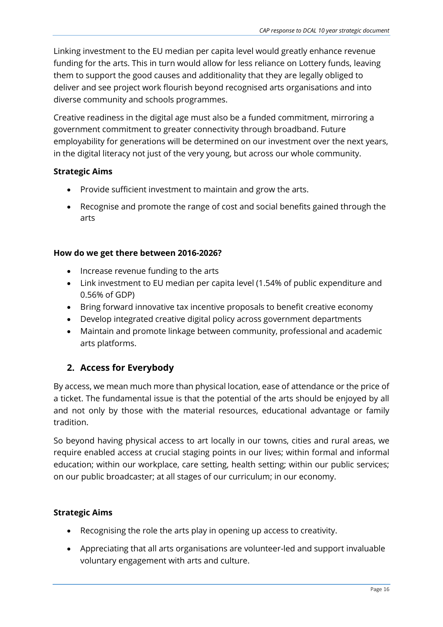Linking investment to the EU median per capita level would greatly enhance revenue funding for the arts. This in turn would allow for less reliance on Lottery funds, leaving them to support the good causes and additionality that they are legally obliged to deliver and see project work flourish beyond recognised arts organisations and into diverse community and schools programmes.

Creative readiness in the digital age must also be a funded commitment, mirroring a government commitment to greater connectivity through broadband. Future employability for generations will be determined on our investment over the next years, in the digital literacy not just of the very young, but across our whole community.

#### **Strategic Aims**

- Provide sufficient investment to maintain and grow the arts.
- Recognise and promote the range of cost and social benefits gained through the arts

#### **How do we get there between 2016-2026?**

- Increase revenue funding to the arts
- Link investment to EU median per capita level (1.54% of public expenditure and 0.56% of GDP)
- Bring forward innovative tax incentive proposals to benefit creative economy
- Develop integrated creative digital policy across government departments
- Maintain and promote linkage between community, professional and academic arts platforms.

### **2. Access for Everybody**

By access, we mean much more than physical location, ease of attendance or the price of a ticket. The fundamental issue is that the potential of the arts should be enjoyed by all and not only by those with the material resources, educational advantage or family tradition.

So beyond having physical access to art locally in our towns, cities and rural areas, we require enabled access at crucial staging points in our lives; within formal and informal education; within our workplace, care setting, health setting; within our public services; on our public broadcaster; at all stages of our curriculum; in our economy.

#### **Strategic Aims**

- Recognising the role the arts play in opening up access to creativity.
- Appreciating that all arts organisations are volunteer-led and support invaluable voluntary engagement with arts and culture.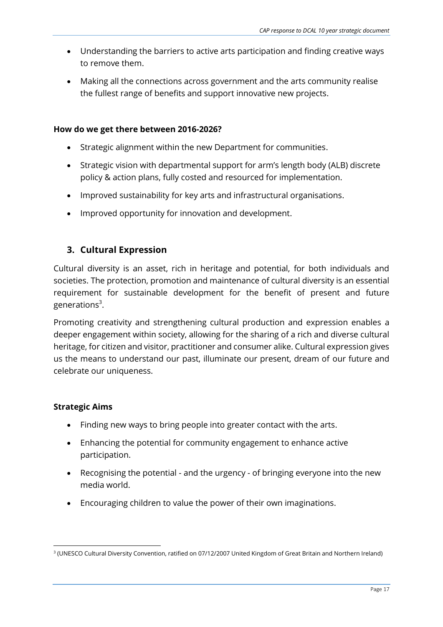- Understanding the barriers to active arts participation and finding creative ways to remove them.
- Making all the connections across government and the arts community realise the fullest range of benefits and support innovative new projects.

- Strategic alignment within the new Department for communities.
- Strategic vision with departmental support for arm's length body (ALB) discrete policy & action plans, fully costed and resourced for implementation.
- Improved sustainability for key arts and infrastructural organisations.
- Improved opportunity for innovation and development.

#### **3. Cultural Expression**

Cultural diversity is an asset, rich in heritage and potential, for both individuals and societies. The protection, promotion and maintenance of cultural diversity is an essential requirement for sustainable development for the benefit of present and future generations<sup>3</sup>.

Promoting creativity and strengthening cultural production and expression enables a deeper engagement within society, allowing for the sharing of a rich and diverse cultural heritage, for citizen and visitor, practitioner and consumer alike. Cultural expression gives us the means to understand our past, illuminate our present, dream of our future and celebrate our uniqueness.

#### **Strategic Aims**

1

- Finding new ways to bring people into greater contact with the arts.
- Enhancing the potential for community engagement to enhance active participation.
- Recognising the potential and the urgency of bringing everyone into the new media world.
- Encouraging children to value the power of their own imaginations.

<sup>3</sup> (UNESCO Cultural Diversity Convention, ratified on 07/12/2007 United Kingdom of Great Britain and Northern Ireland)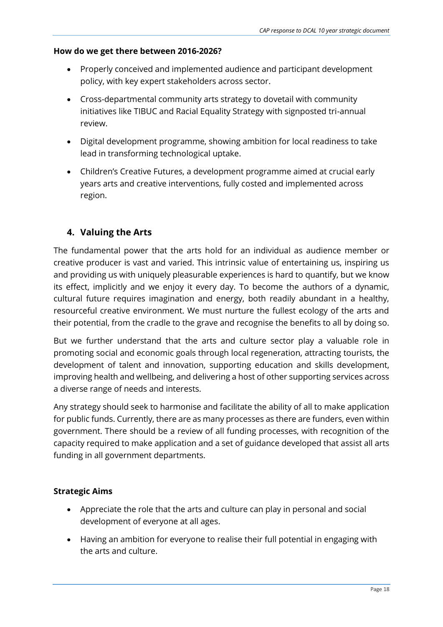- Properly conceived and implemented audience and participant development policy, with key expert stakeholders across sector.
- Cross-departmental community arts strategy to dovetail with community initiatives like TIBUC and Racial Equality Strategy with signposted tri-annual review.
- Digital development programme, showing ambition for local readiness to take lead in transforming technological uptake.
- Children's Creative Futures, a development programme aimed at crucial early years arts and creative interventions, fully costed and implemented across region.

### **4. Valuing the Arts**

The fundamental power that the arts hold for an individual as audience member or creative producer is vast and varied. This intrinsic value of entertaining us, inspiring us and providing us with uniquely pleasurable experiences is hard to quantify, but we know its effect, implicitly and we enjoy it every day. To become the authors of a dynamic, cultural future requires imagination and energy, both readily abundant in a healthy, resourceful creative environment. We must nurture the fullest ecology of the arts and their potential, from the cradle to the grave and recognise the benefits to all by doing so.

But we further understand that the arts and culture sector play a valuable role in promoting social and economic goals through local regeneration, attracting tourists, the development of talent and innovation, supporting education and skills development, improving health and wellbeing, and delivering a host of other supporting services across a diverse range of needs and interests.

Any strategy should seek to harmonise and facilitate the ability of all to make application for public funds. Currently, there are as many processes as there are funders, even within government. There should be a review of all funding processes, with recognition of the capacity required to make application and a set of guidance developed that assist all arts funding in all government departments.

#### **Strategic Aims**

- Appreciate the role that the arts and culture can play in personal and social development of everyone at all ages.
- Having an ambition for everyone to realise their full potential in engaging with the arts and culture.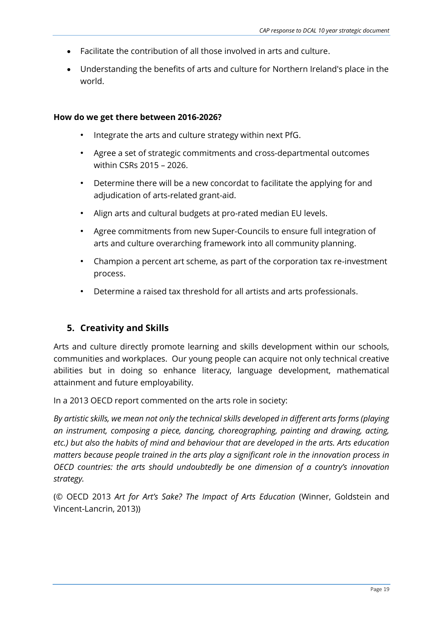- Facilitate the contribution of all those involved in arts and culture.
- Understanding the benefits of arts and culture for Northern Ireland's place in the world.

- Integrate the arts and culture strategy within next PfG.
- Agree a set of strategic commitments and cross-departmental outcomes within CSRs 2015 – 2026.
- Determine there will be a new concordat to facilitate the applying for and adjudication of arts-related grant-aid.
- Align arts and cultural budgets at pro-rated median EU levels.
- Agree commitments from new Super-Councils to ensure full integration of arts and culture overarching framework into all community planning.
- Champion a percent art scheme, as part of the corporation tax re-investment process.
- Determine a raised tax threshold for all artists and arts professionals.

### **5. Creativity and Skills**

Arts and culture directly promote learning and skills development within our schools, communities and workplaces. Our young people can acquire not only technical creative abilities but in doing so enhance literacy, language development, mathematical attainment and future employability.

In a 2013 OECD report commented on the arts role in society:

*By artistic skills, we mean not only the technical skills developed in different arts forms (playing an instrument, composing a piece, dancing, choreographing, painting and drawing, acting, etc.) but also the habits of mind and behaviour that are developed in the arts. Arts education matters because people trained in the arts play a significant role in the innovation process in OECD countries: the arts should undoubtedly be one dimension of a country's innovation strategy.* 

(© OECD 2013 *Art for Art's Sake? The Impact of Arts Education* (Winner, Goldstein and Vincent-Lancrin, 2013))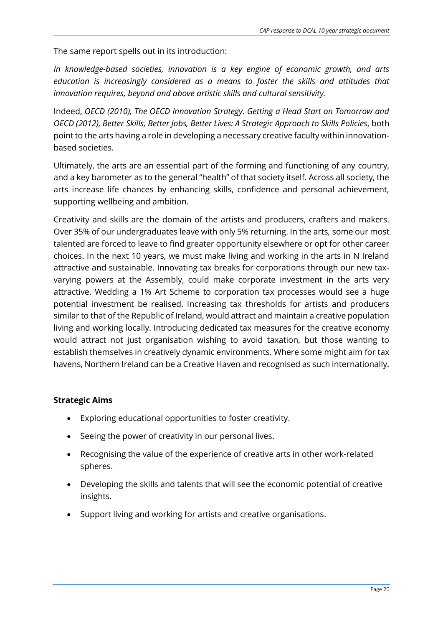The same report spells out in its introduction:

*In knowledge-based societies, innovation is a key engine of economic growth, and arts education is increasingly considered as a means to foster the skills and attitudes that innovation requires, beyond and above artistic skills and cultural sensitivity.* 

Indeed, *OECD (2010), The OECD Innovation Strategy. Getting a Head Start on Tomorrow and OECD (2012), Better Skills, Better Jobs, Better Lives: A Strategic Approach to Skills Policies*, both point to the arts having a role in developing a necessary creative faculty within innovationbased societies.

Ultimately, the arts are an essential part of the forming and functioning of any country, and a key barometer as to the general "health" of that society itself. Across all society, the arts increase life chances by enhancing skills, confidence and personal achievement, supporting wellbeing and ambition.

Creativity and skills are the domain of the artists and producers, crafters and makers. Over 35% of our undergraduates leave with only 5% returning. In the arts, some our most talented are forced to leave to find greater opportunity elsewhere or opt for other career choices. In the next 10 years, we must make living and working in the arts in N Ireland attractive and sustainable. Innovating tax breaks for corporations through our new taxvarying powers at the Assembly, could make corporate investment in the arts very attractive. Wedding a 1% Art Scheme to corporation tax processes would see a huge potential investment be realised. Increasing tax thresholds for artists and producers similar to that of the Republic of Ireland, would attract and maintain a creative population living and working locally. Introducing dedicated tax measures for the creative economy would attract not just organisation wishing to avoid taxation, but those wanting to establish themselves in creatively dynamic environments. Where some might aim for tax havens, Northern Ireland can be a Creative Haven and recognised as such internationally.

#### **Strategic Aims**

- Exploring educational opportunities to foster creativity.
- Seeing the power of creativity in our personal lives.
- Recognising the value of the experience of creative arts in other work-related spheres.
- Developing the skills and talents that will see the economic potential of creative insights.
- Support living and working for artists and creative organisations.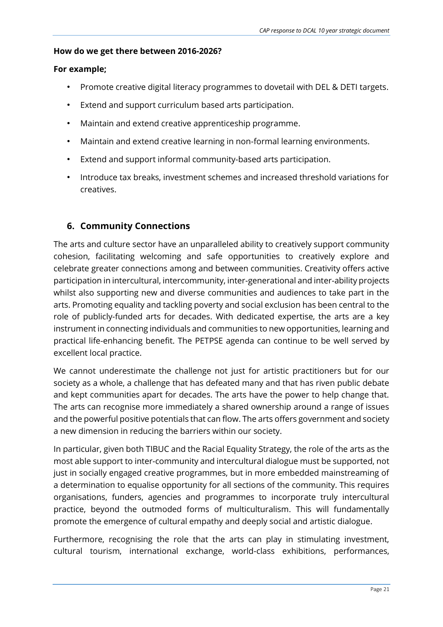#### **For example;**

- Promote creative digital literacy programmes to dovetail with DEL & DETI targets.
- Extend and support curriculum based arts participation.
- Maintain and extend creative apprenticeship programme.
- Maintain and extend creative learning in non-formal learning environments.
- Extend and support informal community-based arts participation.
- Introduce tax breaks, investment schemes and increased threshold variations for creatives.

### **6. Community Connections**

The arts and culture sector have an unparalleled ability to creatively support community cohesion, facilitating welcoming and safe opportunities to creatively explore and celebrate greater connections among and between communities. Creativity offers active participation in intercultural, intercommunity, inter-generational and inter-ability projects whilst also supporting new and diverse communities and audiences to take part in the arts. Promoting equality and tackling poverty and social exclusion has been central to the role of publicly-funded arts for decades. With dedicated expertise, the arts are a key instrument in connecting individuals and communities to new opportunities, learning and practical life-enhancing benefit. The PETPSE agenda can continue to be well served by excellent local practice.

We cannot underestimate the challenge not just for artistic practitioners but for our society as a whole, a challenge that has defeated many and that has riven public debate and kept communities apart for decades. The arts have the power to help change that. The arts can recognise more immediately a shared ownership around a range of issues and the powerful positive potentials that can flow. The arts offers government and society a new dimension in reducing the barriers within our society.

In particular, given both TIBUC and the Racial Equality Strategy, the role of the arts as the most able support to inter-community and intercultural dialogue must be supported, not just in socially engaged creative programmes, but in more embedded mainstreaming of a determination to equalise opportunity for all sections of the community. This requires organisations, funders, agencies and programmes to incorporate truly intercultural practice, beyond the outmoded forms of multiculturalism. This will fundamentally promote the emergence of cultural empathy and deeply social and artistic dialogue.

Furthermore, recognising the role that the arts can play in stimulating investment, cultural tourism, international exchange, world-class exhibitions, performances,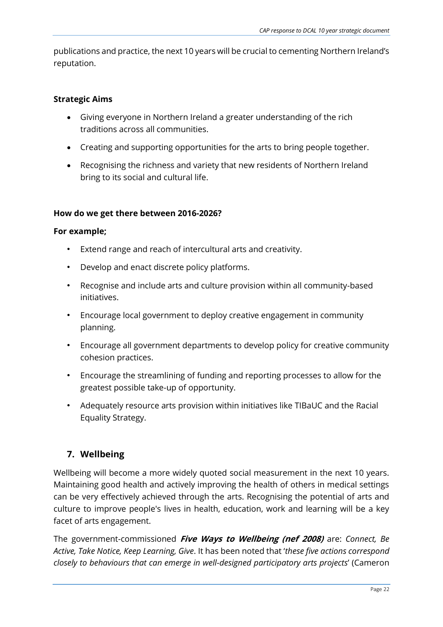publications and practice, the next 10 years will be crucial to cementing Northern Ireland's reputation.

#### **Strategic Aims**

- Giving everyone in Northern Ireland a greater understanding of the rich traditions across all communities.
- Creating and supporting opportunities for the arts to bring people together.
- Recognising the richness and variety that new residents of Northern Ireland bring to its social and cultural life.

#### **How do we get there between 2016-2026?**

#### **For example;**

- Extend range and reach of intercultural arts and creativity.
- Develop and enact discrete policy platforms.
- Recognise and include arts and culture provision within all community-based initiatives.
- Encourage local government to deploy creative engagement in community planning.
- Encourage all government departments to develop policy for creative community cohesion practices.
- Encourage the streamlining of funding and reporting processes to allow for the greatest possible take-up of opportunity.
- Adequately resource arts provision within initiatives like TIBaUC and the Racial Equality Strategy.

### **7. Wellbeing**

Wellbeing will become a more widely quoted social measurement in the next 10 years. Maintaining good health and actively improving the health of others in medical settings can be very effectively achieved through the arts. Recognising the potential of arts and culture to improve people's lives in health, education, work and learning will be a key facet of arts engagement.

The government-commissioned **Five Ways to Wellbeing (nef 2008)** are: *Connect, Be Active, Take Notice, Keep Learning, Give*. It has been noted that '*these five actions correspond closely to behaviours that can emerge in well-designed participatory arts projects*' (Cameron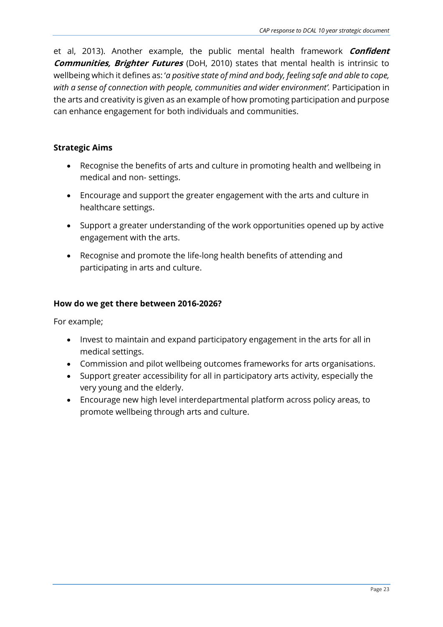et al, 2013). Another example, the public mental health framework **Confident Communities, Brighter Futures** (DoH, 2010) states that mental health is intrinsic to wellbeing which it defines as: '*a positive state of mind and body, feeling safe and able to cope, with a sense of connection with people, communities and wider environment'.* Participation in the arts and creativity is given as an example of how promoting participation and purpose can enhance engagement for both individuals and communities.

#### **Strategic Aims**

- Recognise the benefits of arts and culture in promoting health and wellbeing in medical and non- settings.
- Encourage and support the greater engagement with the arts and culture in healthcare settings.
- Support a greater understanding of the work opportunities opened up by active engagement with the arts.
- Recognise and promote the life-long health benefits of attending and participating in arts and culture.

#### **How do we get there between 2016-2026?**

For example;

- Invest to maintain and expand participatory engagement in the arts for all in medical settings.
- Commission and pilot wellbeing outcomes frameworks for arts organisations.
- Support greater accessibility for all in participatory arts activity, especially the very young and the elderly.
- Encourage new high level interdepartmental platform across policy areas, to promote wellbeing through arts and culture.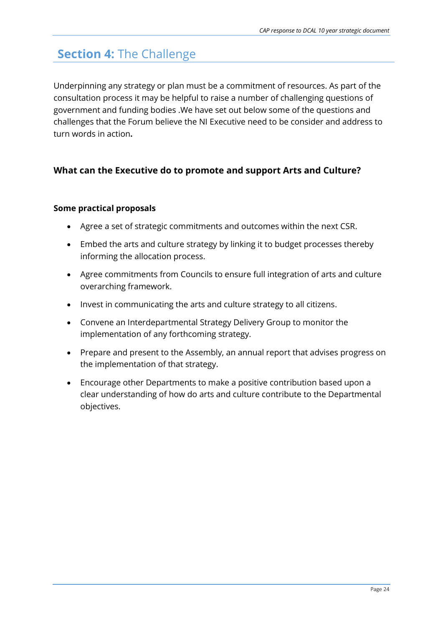## **Section 4:** The Challenge

Underpinning any strategy or plan must be a commitment of resources. As part of the consultation process it may be helpful to raise a number of challenging questions of government and funding bodies .We have set out below some of the questions and challenges that the Forum believe the NI Executive need to be consider and address to turn words in action**.**

#### **What can the Executive do to promote and support Arts and Culture?**

#### **Some practical proposals**

- Agree a set of strategic commitments and outcomes within the next CSR.
- Embed the arts and culture strategy by linking it to budget processes thereby informing the allocation process.
- Agree commitments from Councils to ensure full integration of arts and culture overarching framework.
- Invest in communicating the arts and culture strategy to all citizens.
- Convene an Interdepartmental Strategy Delivery Group to monitor the implementation of any forthcoming strategy.
- Prepare and present to the Assembly, an annual report that advises progress on the implementation of that strategy.
- Encourage other Departments to make a positive contribution based upon a clear understanding of how do arts and culture contribute to the Departmental objectives.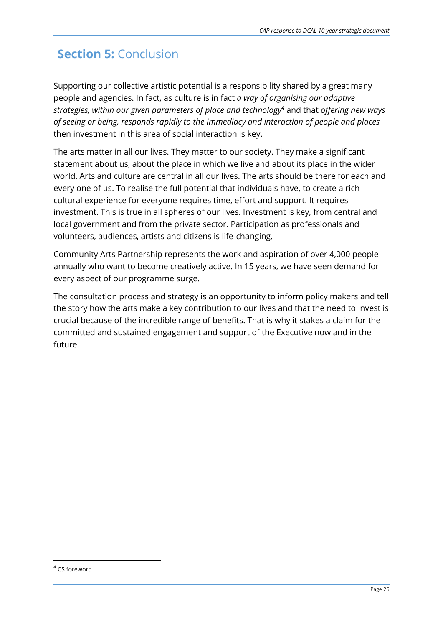# **Section 5:** Conclusion

Supporting our collective artistic potential is a responsibility shared by a great many people and agencies. In fact, as culture is in fact *a way of organising our adaptive strategies, within our given parameters of place and technology<sup>4</sup>* and that *offering new ways of seeing or being, responds rapidly to the immediacy and interaction of people and places*  then investment in this area of social interaction is key.

The arts matter in all our lives. They matter to our society. They make a significant statement about us, about the place in which we live and about its place in the wider world. Arts and culture are central in all our lives. The arts should be there for each and every one of us. To realise the full potential that individuals have, to create a rich cultural experience for everyone requires time, effort and support. It requires investment. This is true in all spheres of our lives. Investment is key, from central and local government and from the private sector. Participation as professionals and volunteers, audiences, artists and citizens is life-changing.

Community Arts Partnership represents the work and aspiration of over 4,000 people annually who want to become creatively active. In 15 years, we have seen demand for every aspect of our programme surge.

The consultation process and strategy is an opportunity to inform policy makers and tell the story how the arts make a key contribution to our lives and that the need to invest is crucial because of the incredible range of benefits. That is why it stakes a claim for the committed and sustained engagement and support of the Executive now and in the future.

**.** 

<sup>4</sup> CS foreword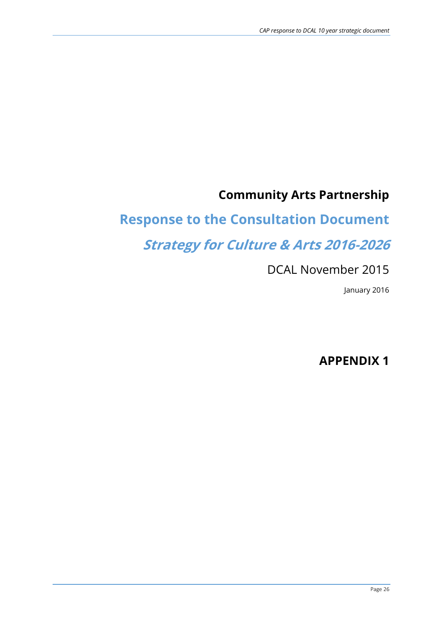# **Community Arts Partnership**

# **Response to the Consultation Document**

# **Strategy for Culture & Arts 2016-2026**

# DCAL November 2015

January 2016

### **APPENDIX 1**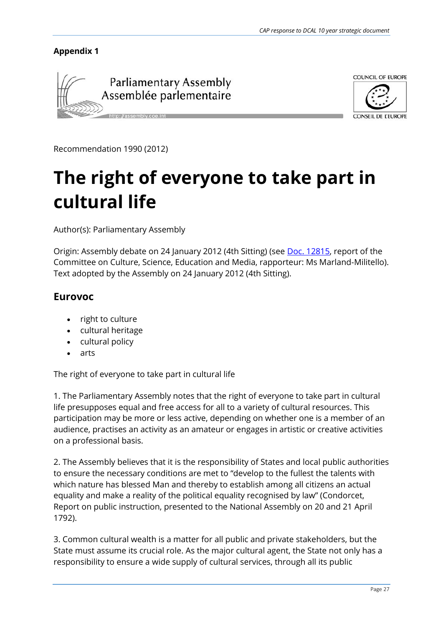#### **Appendix 1**





Recommendation 1990 (2012)

# **The right of everyone to take part in cultural life**

Author(s): Parliamentary Assembly

Origin: Assembly debate on 24 January 2012 (4th Sitting) (see [Doc. 12815,](http://assembly.coe.int/ASP/Doc/XrefViewHTML.asp?FileID=13201&Language=en) report of the Committee on Culture, Science, Education and Media, rapporteur: Ms Marland-Militello). Text adopted by the Assembly on 24 January 2012 (4th Sitting).

#### **Eurovoc**

- right to culture
- cultural heritage
- cultural policy
- arts

The right of everyone to take part in cultural life

1. The Parliamentary Assembly notes that the right of everyone to take part in cultural life presupposes equal and free access for all to a variety of cultural resources. This participation may be more or less active, depending on whether one is a member of an audience, practises an activity as an amateur or engages in artistic or creative activities on a professional basis.

2. The Assembly believes that it is the responsibility of States and local public authorities to ensure the necessary conditions are met to "develop to the fullest the talents with which nature has blessed Man and thereby to establish among all citizens an actual equality and make a reality of the political equality recognised by law" (Condorcet, Report on public instruction, presented to the National Assembly on 20 and 21 April 1792).

3. Common cultural wealth is a matter for all public and private stakeholders, but the State must assume its crucial role. As the major cultural agent, the State not only has a responsibility to ensure a wide supply of cultural services, through all its public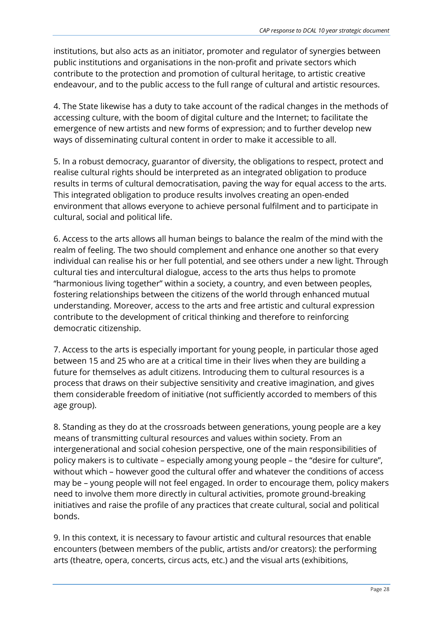institutions, but also acts as an initiator, promoter and regulator of synergies between public institutions and organisations in the non-profit and private sectors which contribute to the protection and promotion of cultural heritage, to artistic creative endeavour, and to the public access to the full range of cultural and artistic resources.

4. The State likewise has a duty to take account of the radical changes in the methods of accessing culture, with the boom of digital culture and the Internet; to facilitate the emergence of new artists and new forms of expression; and to further develop new ways of disseminating cultural content in order to make it accessible to all.

5. In a robust democracy, guarantor of diversity, the obligations to respect, protect and realise cultural rights should be interpreted as an integrated obligation to produce results in terms of cultural democratisation, paving the way for equal access to the arts. This integrated obligation to produce results involves creating an open-ended environment that allows everyone to achieve personal fulfilment and to participate in cultural, social and political life.

6. Access to the arts allows all human beings to balance the realm of the mind with the realm of feeling. The two should complement and enhance one another so that every individual can realise his or her full potential, and see others under a new light. Through cultural ties and intercultural dialogue, access to the arts thus helps to promote "harmonious living together" within a society, a country, and even between peoples, fostering relationships between the citizens of the world through enhanced mutual understanding. Moreover, access to the arts and free artistic and cultural expression contribute to the development of critical thinking and therefore to reinforcing democratic citizenship.

7. Access to the arts is especially important for young people, in particular those aged between 15 and 25 who are at a critical time in their lives when they are building a future for themselves as adult citizens. Introducing them to cultural resources is a process that draws on their subjective sensitivity and creative imagination, and gives them considerable freedom of initiative (not sufficiently accorded to members of this age group).

8. Standing as they do at the crossroads between generations, young people are a key means of transmitting cultural resources and values within society. From an intergenerational and social cohesion perspective, one of the main responsibilities of policy makers is to cultivate – especially among young people – the "desire for culture", without which – however good the cultural offer and whatever the conditions of access may be – young people will not feel engaged. In order to encourage them, policy makers need to involve them more directly in cultural activities, promote ground-breaking initiatives and raise the profile of any practices that create cultural, social and political bonds.

9. In this context, it is necessary to favour artistic and cultural resources that enable encounters (between members of the public, artists and/or creators): the performing arts (theatre, opera, concerts, circus acts, etc.) and the visual arts (exhibitions,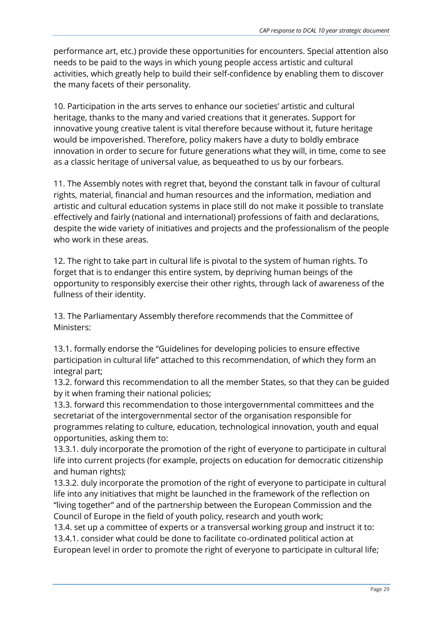performance art, etc.) provide these opportunities for encounters. Special attention also needs to be paid to the ways in which young people access artistic and cultural activities, which greatly help to build their self-confidence by enabling them to discover the many facets of their personality.

10. Participation in the arts serves to enhance our societies' artistic and cultural heritage, thanks to the many and varied creations that it generates. Support for innovative young creative talent is vital therefore because without it, future heritage would be impoverished. Therefore, policy makers have a duty to boldly embrace innovation in order to secure for future generations what they will, in time, come to see as a classic heritage of universal value, as bequeathed to us by our forbears.

11. The Assembly notes with regret that, beyond the constant talk in favour of cultural rights, material, financial and human resources and the information, mediation and artistic and cultural education systems in place still do not make it possible to translate effectively and fairly (national and international) professions of faith and declarations, despite the wide variety of initiatives and projects and the professionalism of the people who work in these areas.

12. The right to take part in cultural life is pivotal to the system of human rights. To forget that is to endanger this entire system, by depriving human beings of the opportunity to responsibly exercise their other rights, through lack of awareness of the fullness of their identity.

13. The Parliamentary Assembly therefore recommends that the Committee of Ministers:

13.1. formally endorse the "Guidelines for developing policies to ensure effective participation in cultural life" attached to this recommendation, of which they form an integral part;

13.2. forward this recommendation to all the member States, so that they can be guided by it when framing their national policies;

13.3. forward this recommendation to those intergovernmental committees and the secretariat of the intergovernmental sector of the organisation responsible for programmes relating to culture, education, technological innovation, youth and equal opportunities, asking them to:

13.3.1. duly incorporate the promotion of the right of everyone to participate in cultural life into current projects (for example, projects on education for democratic citizenship and human rights);

13.3.2. duly incorporate the promotion of the right of everyone to participate in cultural life into any initiatives that might be launched in the framework of the reflection on "living together" and of the partnership between the European Commission and the Council of Europe in the field of youth policy, research and youth work;

13.4. set up a committee of experts or a transversal working group and instruct it to: 13.4.1. consider what could be done to facilitate co-ordinated political action at European level in order to promote the right of everyone to participate in cultural life;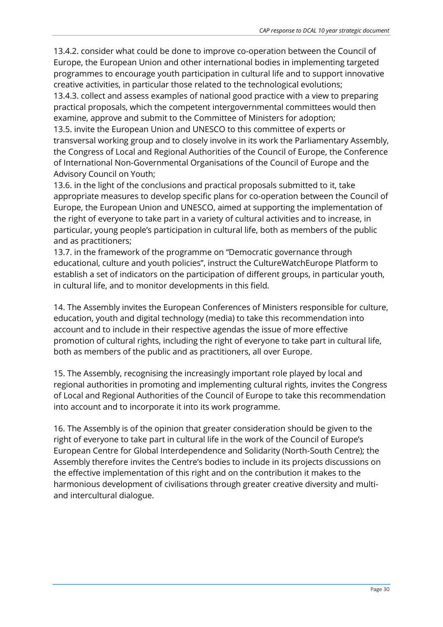13.4.2. consider what could be done to improve co-operation between the Council of Europe, the European Union and other international bodies in implementing targeted programmes to encourage youth participation in cultural life and to support innovative creative activities, in particular those related to the technological evolutions;

13.4.3. collect and assess examples of national good practice with a view to preparing practical proposals, which the competent intergovernmental committees would then examine, approve and submit to the Committee of Ministers for adoption;

13.5. invite the European Union and UNESCO to this committee of experts or transversal working group and to closely involve in its work the Parliamentary Assembly, the Congress of Local and Regional Authorities of the Council of Europe, the Conference of International Non-Governmental Organisations of the Council of Europe and the Advisory Council on Youth;

13.6. in the light of the conclusions and practical proposals submitted to it, take appropriate measures to develop specific plans for co-operation between the Council of Europe, the European Union and UNESCO, aimed at supporting the implementation of the right of everyone to take part in a variety of cultural activities and to increase, in particular, young people's participation in cultural life, both as members of the public and as practitioners;

13.7. in the framework of the programme on "Democratic governance through educational, culture and youth policies", instruct the CultureWatchEurope Platform to establish a set of indicators on the participation of different groups, in particular youth, in cultural life, and to monitor developments in this field.

14. The Assembly invites the European Conferences of Ministers responsible for culture, education, youth and digital technology (media) to take this recommendation into account and to include in their respective agendas the issue of more effective promotion of cultural rights, including the right of everyone to take part in cultural life, both as members of the public and as practitioners, all over Europe.

15. The Assembly, recognising the increasingly important role played by local and regional authorities in promoting and implementing cultural rights, invites the Congress of Local and Regional Authorities of the Council of Europe to take this recommendation into account and to incorporate it into its work programme.

16. The Assembly is of the opinion that greater consideration should be given to the right of everyone to take part in cultural life in the work of the Council of Europe's European Centre for Global Interdependence and Solidarity (North-South Centre); the Assembly therefore invites the Centre's bodies to include in its projects discussions on the effective implementation of this right and on the contribution it makes to the harmonious development of civilisations through greater creative diversity and multiand intercultural dialogue.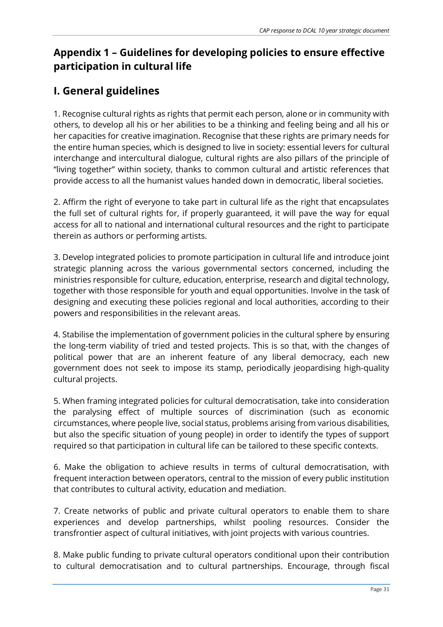### **Appendix 1 – Guidelines for developing policies to ensure effective participation in cultural life**

### **I. General guidelines**

1. Recognise cultural rights as rights that permit each person, alone or in community with others, to develop all his or her abilities to be a thinking and feeling being and all his or her capacities for creative imagination. Recognise that these rights are primary needs for the entire human species, which is designed to live in society: essential levers for cultural interchange and intercultural dialogue, cultural rights are also pillars of the principle of "living together" within society, thanks to common cultural and artistic references that provide access to all the humanist values handed down in democratic, liberal societies.

2. Affirm the right of everyone to take part in cultural life as the right that encapsulates the full set of cultural rights for, if properly guaranteed, it will pave the way for equal access for all to national and international cultural resources and the right to participate therein as authors or performing artists.

3. Develop integrated policies to promote participation in cultural life and introduce joint strategic planning across the various governmental sectors concerned, including the ministries responsible for culture, education, enterprise, research and digital technology, together with those responsible for youth and equal opportunities. Involve in the task of designing and executing these policies regional and local authorities, according to their powers and responsibilities in the relevant areas.

4. Stabilise the implementation of government policies in the cultural sphere by ensuring the long-term viability of tried and tested projects. This is so that, with the changes of political power that are an inherent feature of any liberal democracy, each new government does not seek to impose its stamp, periodically jeopardising high-quality cultural projects.

5. When framing integrated policies for cultural democratisation, take into consideration the paralysing effect of multiple sources of discrimination (such as economic circumstances, where people live, social status, problems arising from various disabilities, but also the specific situation of young people) in order to identify the types of support required so that participation in cultural life can be tailored to these specific contexts.

6. Make the obligation to achieve results in terms of cultural democratisation, with frequent interaction between operators, central to the mission of every public institution that contributes to cultural activity, education and mediation.

7. Create networks of public and private cultural operators to enable them to share experiences and develop partnerships, whilst pooling resources. Consider the transfrontier aspect of cultural initiatives, with joint projects with various countries.

8. Make public funding to private cultural operators conditional upon their contribution to cultural democratisation and to cultural partnerships. Encourage, through fiscal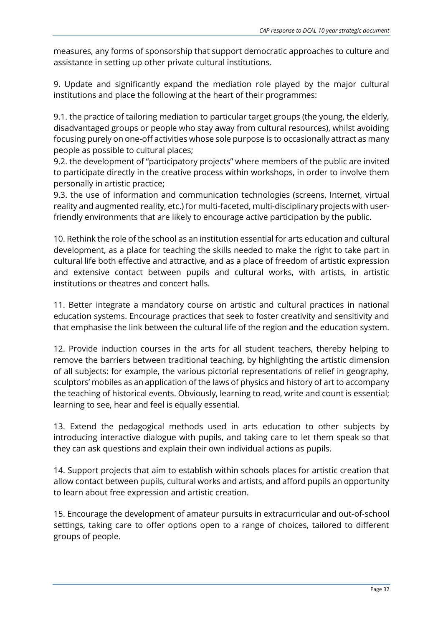measures, any forms of sponsorship that support democratic approaches to culture and assistance in setting up other private cultural institutions.

9. Update and significantly expand the mediation role played by the major cultural institutions and place the following at the heart of their programmes:

9.1. the practice of tailoring mediation to particular target groups (the young, the elderly, disadvantaged groups or people who stay away from cultural resources), whilst avoiding focusing purely on one-off activities whose sole purpose is to occasionally attract as many people as possible to cultural places;

9.2. the development of "participatory projects" where members of the public are invited to participate directly in the creative process within workshops, in order to involve them personally in artistic practice;

9.3. the use of information and communication technologies (screens, Internet, virtual reality and augmented reality, etc.) for multi-faceted, multi-disciplinary projects with userfriendly environments that are likely to encourage active participation by the public.

10. Rethink the role of the school as an institution essential for arts education and cultural development, as a place for teaching the skills needed to make the right to take part in cultural life both effective and attractive, and as a place of freedom of artistic expression and extensive contact between pupils and cultural works, with artists, in artistic institutions or theatres and concert halls.

11. Better integrate a mandatory course on artistic and cultural practices in national education systems. Encourage practices that seek to foster creativity and sensitivity and that emphasise the link between the cultural life of the region and the education system.

12. Provide induction courses in the arts for all student teachers, thereby helping to remove the barriers between traditional teaching, by highlighting the artistic dimension of all subjects: for example, the various pictorial representations of relief in geography, sculptors' mobiles as an application of the laws of physics and history of art to accompany the teaching of historical events. Obviously, learning to read, write and count is essential; learning to see, hear and feel is equally essential.

13. Extend the pedagogical methods used in arts education to other subjects by introducing interactive dialogue with pupils, and taking care to let them speak so that they can ask questions and explain their own individual actions as pupils.

14. Support projects that aim to establish within schools places for artistic creation that allow contact between pupils, cultural works and artists, and afford pupils an opportunity to learn about free expression and artistic creation.

15. Encourage the development of amateur pursuits in extracurricular and out-of-school settings, taking care to offer options open to a range of choices, tailored to different groups of people.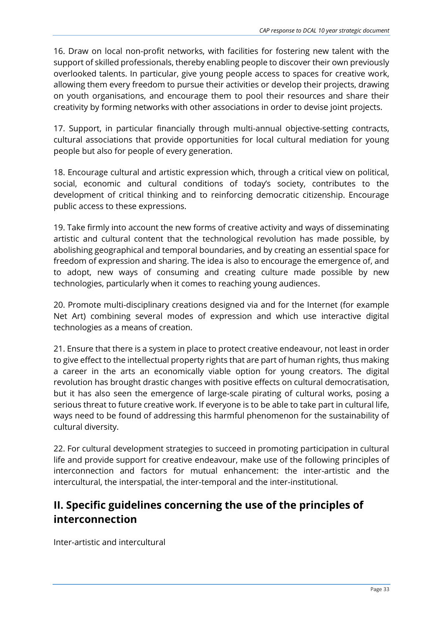16. Draw on local non-profit networks, with facilities for fostering new talent with the support of skilled professionals, thereby enabling people to discover their own previously overlooked talents. In particular, give young people access to spaces for creative work, allowing them every freedom to pursue their activities or develop their projects, drawing on youth organisations, and encourage them to pool their resources and share their creativity by forming networks with other associations in order to devise joint projects.

17. Support, in particular financially through multi-annual objective-setting contracts, cultural associations that provide opportunities for local cultural mediation for young people but also for people of every generation.

18. Encourage cultural and artistic expression which, through a critical view on political, social, economic and cultural conditions of today's society, contributes to the development of critical thinking and to reinforcing democratic citizenship. Encourage public access to these expressions.

19. Take firmly into account the new forms of creative activity and ways of disseminating artistic and cultural content that the technological revolution has made possible, by abolishing geographical and temporal boundaries, and by creating an essential space for freedom of expression and sharing. The idea is also to encourage the emergence of, and to adopt, new ways of consuming and creating culture made possible by new technologies, particularly when it comes to reaching young audiences.

20. Promote multi-disciplinary creations designed via and for the Internet (for example Net Art) combining several modes of expression and which use interactive digital technologies as a means of creation.

21. Ensure that there is a system in place to protect creative endeavour, not least in order to give effect to the intellectual property rights that are part of human rights, thus making a career in the arts an economically viable option for young creators. The digital revolution has brought drastic changes with positive effects on cultural democratisation, but it has also seen the emergence of large-scale pirating of cultural works, posing a serious threat to future creative work. If everyone is to be able to take part in cultural life, ways need to be found of addressing this harmful phenomenon for the sustainability of cultural diversity.

22. For cultural development strategies to succeed in promoting participation in cultural life and provide support for creative endeavour, make use of the following principles of interconnection and factors for mutual enhancement: the inter-artistic and the intercultural, the interspatial, the inter-temporal and the inter-institutional.

### **II. Specific guidelines concerning the use of the principles of interconnection**

Inter-artistic and intercultural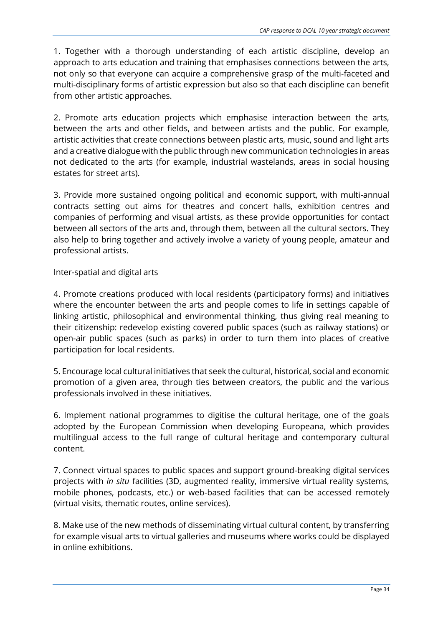1. Together with a thorough understanding of each artistic discipline, develop an approach to arts education and training that emphasises connections between the arts, not only so that everyone can acquire a comprehensive grasp of the multi-faceted and multi-disciplinary forms of artistic expression but also so that each discipline can benefit from other artistic approaches.

2. Promote arts education projects which emphasise interaction between the arts, between the arts and other fields, and between artists and the public. For example, artistic activities that create connections between plastic arts, music, sound and light arts and a creative dialogue with the public through new communication technologies in areas not dedicated to the arts (for example, industrial wastelands, areas in social housing estates for street arts).

3. Provide more sustained ongoing political and economic support, with multi-annual contracts setting out aims for theatres and concert halls, exhibition centres and companies of performing and visual artists, as these provide opportunities for contact between all sectors of the arts and, through them, between all the cultural sectors. They also help to bring together and actively involve a variety of young people, amateur and professional artists.

#### Inter-spatial and digital arts

4. Promote creations produced with local residents (participatory forms) and initiatives where the encounter between the arts and people comes to life in settings capable of linking artistic, philosophical and environmental thinking, thus giving real meaning to their citizenship: redevelop existing covered public spaces (such as railway stations) or open-air public spaces (such as parks) in order to turn them into places of creative participation for local residents.

5. Encourage local cultural initiatives that seek the cultural, historical, social and economic promotion of a given area, through ties between creators, the public and the various professionals involved in these initiatives.

6. Implement national programmes to digitise the cultural heritage, one of the goals adopted by the European Commission when developing Europeana, which provides multilingual access to the full range of cultural heritage and contemporary cultural content.

7. Connect virtual spaces to public spaces and support ground-breaking digital services projects with *in situ* facilities (3D, augmented reality, immersive virtual reality systems, mobile phones, podcasts, etc.) or web-based facilities that can be accessed remotely (virtual visits, thematic routes, online services).

8. Make use of the new methods of disseminating virtual cultural content, by transferring for example visual arts to virtual galleries and museums where works could be displayed in online exhibitions.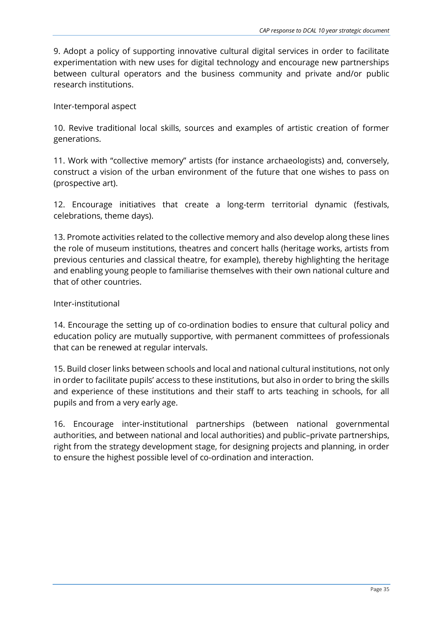9. Adopt a policy of supporting innovative cultural digital services in order to facilitate experimentation with new uses for digital technology and encourage new partnerships between cultural operators and the business community and private and/or public research institutions.

Inter-temporal aspect

10. Revive traditional local skills, sources and examples of artistic creation of former generations.

11. Work with "collective memory" artists (for instance archaeologists) and, conversely, construct a vision of the urban environment of the future that one wishes to pass on (prospective art).

12. Encourage initiatives that create a long-term territorial dynamic (festivals, celebrations, theme days).

13. Promote activities related to the collective memory and also develop along these lines the role of museum institutions, theatres and concert halls (heritage works, artists from previous centuries and classical theatre, for example), thereby highlighting the heritage and enabling young people to familiarise themselves with their own national culture and that of other countries.

#### Inter-institutional

14. Encourage the setting up of co-ordination bodies to ensure that cultural policy and education policy are mutually supportive, with permanent committees of professionals that can be renewed at regular intervals.

15. Build closer links between schools and local and national cultural institutions, not only in order to facilitate pupils' access to these institutions, but also in order to bring the skills and experience of these institutions and their staff to arts teaching in schools, for all pupils and from a very early age.

16. Encourage inter-institutional partnerships (between national governmental authorities, and between national and local authorities) and public–private partnerships, right from the strategy development stage, for designing projects and planning, in order to ensure the highest possible level of co-ordination and interaction.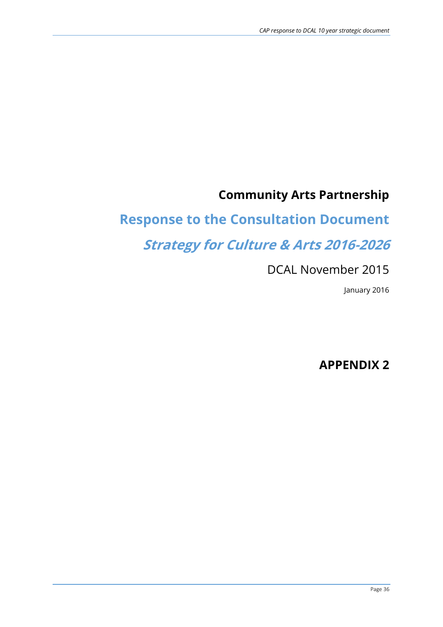# **Community Arts Partnership**

# **Response to the Consultation Document**

# **Strategy for Culture & Arts 2016-2026**

# DCAL November 2015

January 2016

# **APPENDIX 2**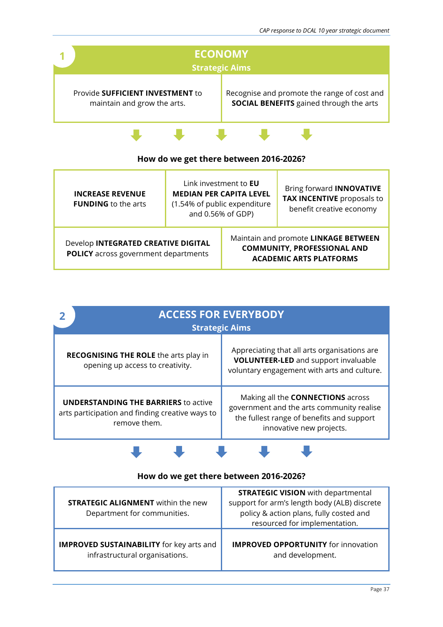

| <b>INCREASE REVENUE</b><br><b>FUNDING</b> to the arts                              | Link investment to <b>EU</b><br><b>MEDIAN PER CAPITA LEVEL</b><br>(1.54% of public expenditure<br>and 0.56% of GDP) |  | Bring forward <b>INNOVATIVE</b><br><b>TAX INCENTIVE proposals to</b><br>benefit creative economy             |
|------------------------------------------------------------------------------------|---------------------------------------------------------------------------------------------------------------------|--|--------------------------------------------------------------------------------------------------------------|
| Develop INTEGRATED CREATIVE DIGITAL<br><b>POLICY</b> across government departments |                                                                                                                     |  | Maintain and promote LINKAGE BETWEEN<br><b>COMMUNITY, PROFESSIONAL AND</b><br><b>ACADEMIC ARTS PLATFORMS</b> |

| <b>ACCESS FOR EVERYBODY</b><br><b>Strategic Aims</b>                                                           |                                                                                                                                                                |  |  |  |  |
|----------------------------------------------------------------------------------------------------------------|----------------------------------------------------------------------------------------------------------------------------------------------------------------|--|--|--|--|
| <b>RECOGNISING THE ROLE</b> the arts play in<br>opening up access to creativity.                               | Appreciating that all arts organisations are<br>VOLUNTEER-LED and support invaluable<br>voluntary engagement with arts and culture.                            |  |  |  |  |
| <b>UNDERSTANDING THE BARRIERS</b> to active<br>arts participation and finding creative ways to<br>remove them. | Making all the <b>CONNECTIONS</b> across<br>government and the arts community realise<br>the fullest range of benefits and support<br>innovative new projects. |  |  |  |  |

#### **How do we get there between 2016-2026?**

| <b>STRATEGIC ALIGNMENT</b> within the new<br>Department for communities. | <b>STRATEGIC VISION</b> with departmental<br>support for arm's length body (ALB) discrete<br>policy & action plans, fully costed and<br>resourced for implementation. |
|--------------------------------------------------------------------------|-----------------------------------------------------------------------------------------------------------------------------------------------------------------------|
| <b>IMPROVED SUSTAINABILITY</b> for key arts and                          | <b>IMPROVED OPPORTUNITY</b> for innovation                                                                                                                            |
| infrastructural organisations.                                           | and development.                                                                                                                                                      |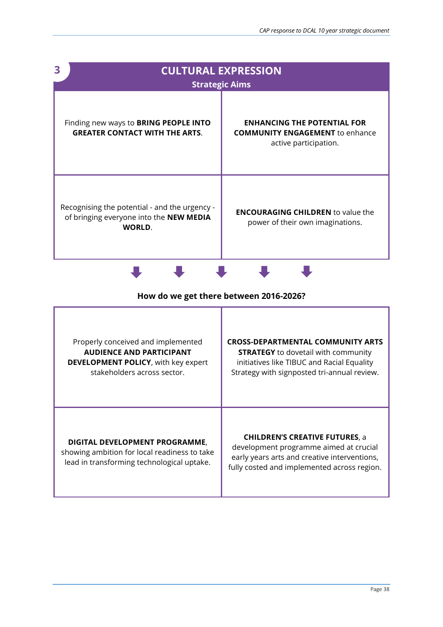| 3<br><b>CULTURAL EXPRESSION</b><br><b>Strategic Aims</b>                                           |                                                                                                       |  |  |
|----------------------------------------------------------------------------------------------------|-------------------------------------------------------------------------------------------------------|--|--|
| Finding new ways to BRING PEOPLE INTO<br><b>GREATER CONTACT WITH THE ARTS.</b>                     | <b>ENHANCING THE POTENTIAL FOR</b><br><b>COMMUNITY ENGAGEMENT</b> to enhance<br>active participation. |  |  |
| Recognising the potential - and the urgency -<br>of bringing everyone into the NEW MEDIA<br>WORLD. | <b>ENCOURAGING CHILDREN</b> to value the<br>power of their own imaginations.                          |  |  |

| Properly conceived and implemented                                                                                           | <b>CROSS-DEPARTMENTAL COMMUNITY ARTS</b>                                                                                                                                       |
|------------------------------------------------------------------------------------------------------------------------------|--------------------------------------------------------------------------------------------------------------------------------------------------------------------------------|
| <b>AUDIENCE AND PARTICIPANT</b>                                                                                              | <b>STRATEGY</b> to dovetail with community                                                                                                                                     |
| <b>DEVELOPMENT POLICY, with key expert</b>                                                                                   | initiatives like TIBUC and Racial Equality                                                                                                                                     |
| stakeholders across sector.                                                                                                  | Strategy with signposted tri-annual review.                                                                                                                                    |
| DIGITAL DEVELOPMENT PROGRAMME,<br>showing ambition for local readiness to take<br>lead in transforming technological uptake. | <b>CHILDREN'S CREATIVE FUTURES, a</b><br>development programme aimed at crucial<br>early years arts and creative interventions,<br>fully costed and implemented across region. |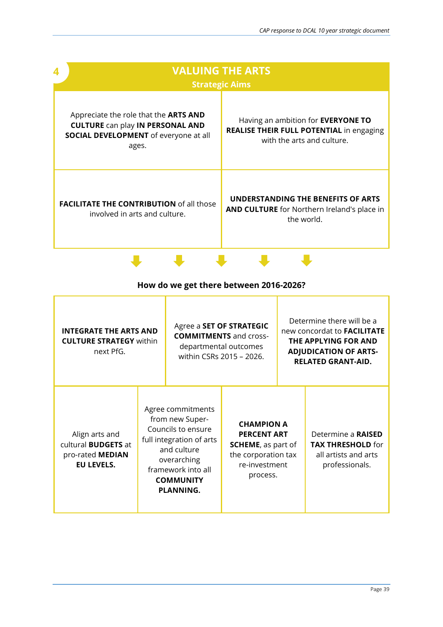T

J

| <b>VALUING THE ARTS</b><br><b>Strategic Aims</b>                                                                                                 |                                                                                                                            |  |  |
|--------------------------------------------------------------------------------------------------------------------------------------------------|----------------------------------------------------------------------------------------------------------------------------|--|--|
| Appreciate the role that the <b>ARTS AND</b><br><b>CULTURE can play IN PERSONAL AND</b><br><b>SOCIAL DEVELOPMENT</b> of everyone at all<br>ages. | Having an ambition for <b>EVERYONE TO</b><br><b>REALISE THEIR FULL POTENTIAL in engaging</b><br>with the arts and culture. |  |  |
| <b>FACILITATE THE CONTRIBUTION of all those</b><br>involved in arts and culture.                                                                 | UNDERSTANDING THE BENEFITS OF ARTS<br>AND CULTURE for Northern Ireland's place in<br>the world.                            |  |  |

### **How do we get there between 2016-2026?**

 $\blacksquare$ 

J

 $\blacksquare$ 

| <b>INTEGRATE THE ARTS AND</b><br><b>CULTURE STRATEGY within</b><br>next PfG.          |  | Agree a SET OF STRATEGIC<br><b>COMMITMENTS and cross-</b><br>departmental outcomes<br>within CSRs 2015 - 2026.                                                              |                                                                                                                          | Determine there will be a<br>new concordat to <b>FACILITATE</b><br>THE APPLYING FOR AND<br><b>ADJUDICATION OF ARTS-</b><br><b>RELATED GRANT-AID.</b> |
|---------------------------------------------------------------------------------------|--|-----------------------------------------------------------------------------------------------------------------------------------------------------------------------------|--------------------------------------------------------------------------------------------------------------------------|------------------------------------------------------------------------------------------------------------------------------------------------------|
| Align arts and<br>cultural <b>BUDGETS</b> at<br>pro-rated MEDIAN<br><b>EU LEVELS.</b> |  | Agree commitments<br>from new Super-<br>Councils to ensure<br>full integration of arts<br>and culture<br>overarching<br>framework into all<br><b>COMMUNITY</b><br>PLANNING. | <b>CHAMPION A</b><br><b>PERCENT ART</b><br><b>SCHEME, as part of</b><br>the corporation tax<br>re-investment<br>process. | Determine a <b>RAISED</b><br><b>TAX THRESHOLD for</b><br>all artists and arts<br>professionals.                                                      |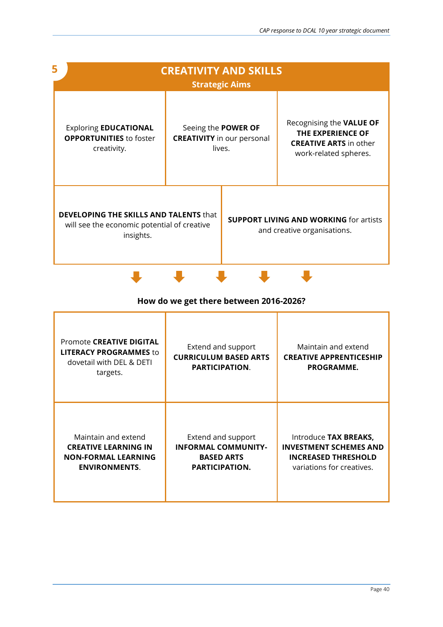| 5<br><b>CREATIVITY AND SKILLS</b><br><b>Strategic Aims</b>                                                |                                                                    |  |                                                                                                         |
|-----------------------------------------------------------------------------------------------------------|--------------------------------------------------------------------|--|---------------------------------------------------------------------------------------------------------|
| <b>Exploring EDUCATIONAL</b><br><b>OPPORTUNITIES</b> to foster<br>creativity.                             | Seeing the POWER OF<br><b>CREATIVITY</b> in our personal<br>lives. |  | Recognising the VALUE OF<br>THE EXPERIENCE OF<br><b>CREATIVE ARTS</b> in other<br>work-related spheres. |
| <b>DEVELOPING THE SKILLS AND TALENTS that</b><br>will see the economic potential of creative<br>insights. |                                                                    |  | <b>SUPPORT LIVING AND WORKING for artists</b><br>and creative organisations.                            |



| Promote CREATIVE DIGITAL<br><b>LITERACY PROGRAMMES to</b><br>dovetail with DEL & DETI<br>targets. | Extend and support<br><b>CURRICULUM BASED ARTS</b><br>PARTICIPATION. | Maintain and extend<br><b>CREATIVE APPRENTICESHIP</b><br>PROGRAMME. |
|---------------------------------------------------------------------------------------------------|----------------------------------------------------------------------|---------------------------------------------------------------------|
| Maintain and extend                                                                               | Extend and support                                                   | Introduce TAX BREAKS,                                               |
| <b>CREATIVE LEARNING IN</b>                                                                       | <b>INFORMAL COMMUNITY-</b>                                           | <b>INVESTMENT SCHEMES AND</b>                                       |
| <b>NON-FORMAL LEARNING</b>                                                                        | <b>BASED ARTS</b>                                                    | <b>INCREASED THRESHOLD</b>                                          |
| <b>ENVIRONMENTS.</b>                                                                              | PARTICIPATION.                                                       | variations for creatives.                                           |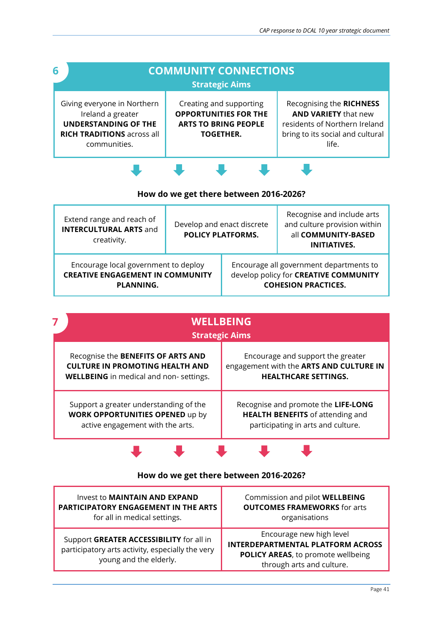| 6 |                                                                                                                                      | <b>COMMUNITY CONNECTIONS</b><br><b>Strategic Aims</b>                                                      |                                                                                                                                       |
|---|--------------------------------------------------------------------------------------------------------------------------------------|------------------------------------------------------------------------------------------------------------|---------------------------------------------------------------------------------------------------------------------------------------|
|   | Giving everyone in Northern<br>Ireland a greater<br><b>UNDERSTANDING OF THE</b><br><b>RICH TRADITIONS</b> across all<br>communities. | Creating and supporting<br><b>OPPORTUNITIES FOR THE</b><br><b>ARTS TO BRING PEOPLE</b><br><b>TOGETHER.</b> | Recognising the RICHNESS<br><b>AND VARIETY that new</b><br>residents of Northern Ireland<br>bring to its social and cultural<br>life. |
|   |                                                                                                                                      |                                                                                                            |                                                                                                                                       |

| Extend range and reach of<br><b>INTERCULTURAL ARTS and</b><br>creativity.                    | Develop and enact discrete<br><b>POLICY PLATFORMS.</b> |  | Recognise and include arts<br>and culture provision within<br>all COMMUNITY-BASED<br><b>INITIATIVES.</b>       |
|----------------------------------------------------------------------------------------------|--------------------------------------------------------|--|----------------------------------------------------------------------------------------------------------------|
| Encourage local government to deploy<br><b>CREATIVE ENGAGEMENT IN COMMUNITY</b><br>PLANNING. |                                                        |  | Encourage all government departments to<br>develop policy for CREATIVE COMMUNITY<br><b>COHESION PRACTICES.</b> |

| <b>WELLBEING</b><br><b>Strategic Aims</b>      |                                         |  |  |
|------------------------------------------------|-----------------------------------------|--|--|
| Recognise the BENEFITS OF ARTS AND             | Encourage and support the greater       |  |  |
| <b>CULTURE IN PROMOTING HEALTH AND</b>         | engagement with the ARTS AND CULTURE IN |  |  |
| <b>WELLBEING</b> in medical and non- settings. | <b>HEALTHCARE SETTINGS.</b>             |  |  |
| Support a greater understanding of the         | Recognise and promote the LIFE-LONG     |  |  |
| <b>WORK OPPORTUNITIES OPENED up by</b>         | <b>HEALTH BENEFITS</b> of attending and |  |  |
| active engagement with the arts.               | participating in arts and culture.      |  |  |

### **How do we get there between 2016-2026?**

| Invest to MAINTAIN AND EXPAND                                                                                          | Commission and pilot WELLBEING                                                                                                          |
|------------------------------------------------------------------------------------------------------------------------|-----------------------------------------------------------------------------------------------------------------------------------------|
| PARTICIPATORY ENGAGEMENT IN THE ARTS                                                                                   | <b>OUTCOMES FRAMEWORKS</b> for arts                                                                                                     |
| for all in medical settings.                                                                                           | organisations                                                                                                                           |
| Support GREATER ACCESSIBILITY for all in<br>participatory arts activity, especially the very<br>young and the elderly. | Encourage new high level<br><b>INTERDEPARTMENTAL PLATFORM ACROSS</b><br>POLICY AREAS, to promote wellbeing<br>through arts and culture. |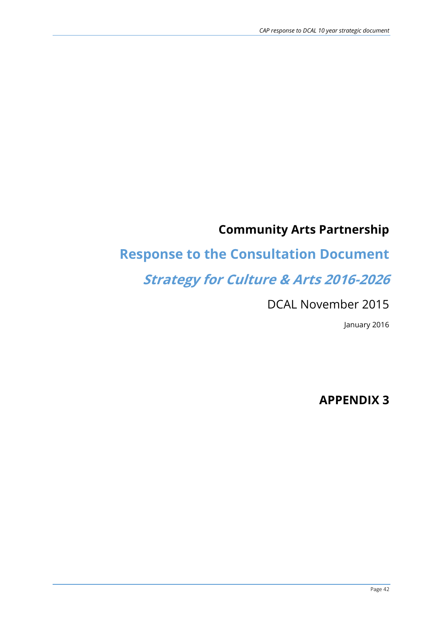# **Community Arts Partnership**

# **Response to the Consultation Document**

# **Strategy for Culture & Arts 2016-2026**

### DCAL November 2015

January 2016

**APPENDIX 3**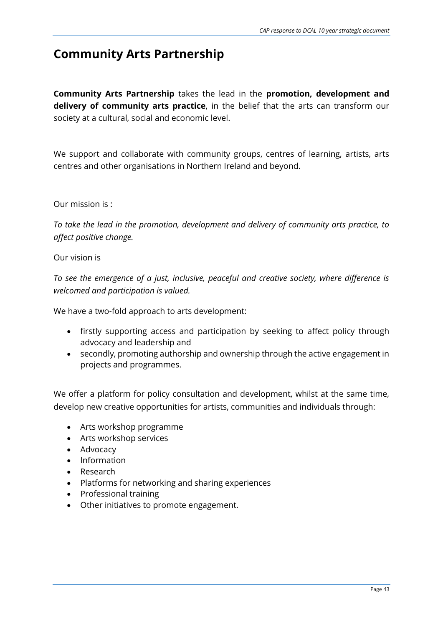### **Community Arts Partnership**

**Community Arts Partnership** takes the lead in the **promotion, development and delivery of community arts practice**, in the belief that the arts can transform our society at a cultural, social and economic level.

We support and collaborate with community groups, centres of learning, artists, arts centres and other organisations in Northern Ireland and beyond.

#### Our mission is :

*To take the lead in the promotion, development and delivery of community arts practice, to affect positive change.*

#### Our vision is

*To see the emergence of a just, inclusive, peaceful and creative society, where difference is welcomed and participation is valued.*

We have a two-fold approach to arts development:

- firstly supporting access and participation by seeking to affect policy through advocacy and leadership and
- secondly, promoting authorship and ownership through the active engagement in projects and programmes.

We offer a platform for policy consultation and development, whilst at the same time, develop new creative opportunities for artists, communities and individuals through:

- Arts workshop programme
- Arts workshop services
- Advocacy
- Information
- Research
- Platforms for networking and sharing experiences
- Professional training
- Other initiatives to promote engagement.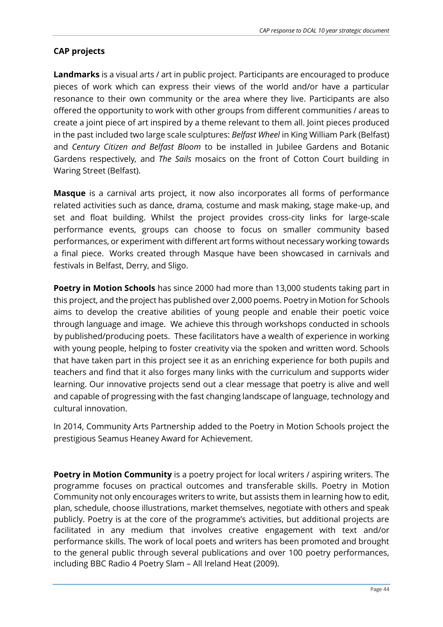#### **CAP projects**

**Landmarks** is a visual arts / art in public project. Participants are encouraged to produce pieces of work which can express their views of the world and/or have a particular resonance to their own community or the area where they live. Participants are also offered the opportunity to work with other groups from different communities / areas to create a joint piece of art inspired by a theme relevant to them all. Joint pieces produced in the past included two large scale sculptures: *Belfast Wheel* in King William Park (Belfast) and *Century Citizen and Belfast Bloom* to be installed in Jubilee Gardens and Botanic Gardens respectively*,* and *The Sails* mosaics on the front of Cotton Court building in Waring Street (Belfast).

**Masque** is a carnival arts project, it now also incorporates all forms of performance related activities such as dance, drama, costume and mask making, stage make-up, and set and float building. Whilst the project provides cross-city links for large-scale performance events, groups can choose to focus on smaller community based performances, or experiment with different art forms without necessary working towards a final piece. Works created through Masque have been showcased in carnivals and festivals in Belfast, Derry, and Sligo.

**Poetry in Motion Schools** has since 2000 had more than 13,000 students taking part in this project, and the project has published over 2,000 poems. Poetry in Motion for Schools aims to develop the creative abilities of young people and enable their poetic voice through language and image. We achieve this through workshops conducted in schools by published/producing poets. These facilitators have a wealth of experience in working with young people, helping to foster creativity via the spoken and written word. Schools that have taken part in this project see it as an enriching experience for both pupils and teachers and find that it also forges many links with the curriculum and supports wider learning. Our innovative projects send out a clear message that poetry is alive and well and capable of progressing with the fast changing landscape of language, technology and cultural innovation.

In 2014, Community Arts Partnership added to the Poetry in Motion Schools project the prestigious Seamus Heaney Award for Achievement.

**Poetry in Motion Community** is a poetry project for local writers / aspiring writers. The programme focuses on practical outcomes and transferable skills. Poetry in Motion Community not only encourages writers to write, but assists them in learning how to edit, plan, schedule, choose illustrations, market themselves, negotiate with others and speak publicly. Poetry is at the core of the programme's activities, but additional projects are facilitated in any medium that involves creative engagement with text and/or performance skills. The work of local poets and writers has been promoted and brought to the general public through several publications and over 100 poetry performances, including BBC Radio 4 Poetry Slam – All Ireland Heat (2009).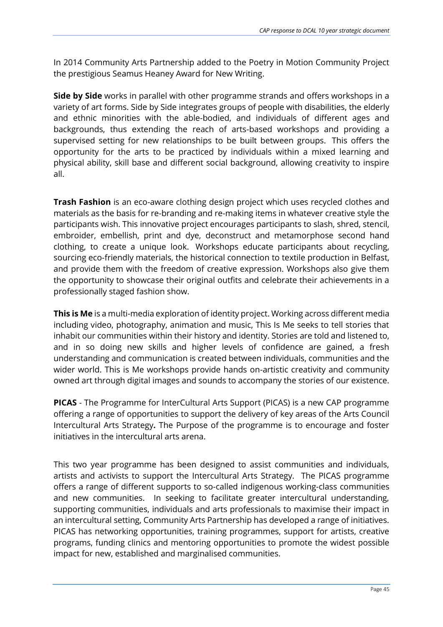In 2014 Community Arts Partnership added to the Poetry in Motion Community Project the prestigious Seamus Heaney Award for New Writing.

**Side by Side** works in parallel with other programme strands and offers workshops in a variety of art forms. Side by Side integrates groups of people with disabilities, the elderly and ethnic minorities with the able-bodied, and individuals of different ages and backgrounds, thus extending the reach of arts-based workshops and providing a supervised setting for new relationships to be built between groups. This offers the opportunity for the arts to be practiced by individuals within a mixed learning and physical ability, skill base and different social background, allowing creativity to inspire all.

**Trash Fashion** is an eco-aware clothing design project which uses recycled clothes and materials as the basis for re-branding and re-making items in whatever creative style the participants wish. This innovative project encourages participants to slash, shred, stencil, embroider, embellish, print and dye, deconstruct and metamorphose second hand clothing, to create a unique look. Workshops educate participants about recycling, sourcing eco-friendly materials, the historical connection to textile production in Belfast, and provide them with the freedom of creative expression. Workshops also give them the opportunity to showcase their original outfits and celebrate their achievements in a professionally staged fashion show.

**This is Me** is a multi-media exploration of identity project. Working across different media including video, photography, animation and music, This Is Me seeks to tell stories that inhabit our communities within their history and identity. Stories are told and listened to, and in so doing new skills and higher levels of confidence are gained, a fresh understanding and communication is created between individuals, communities and the wider world. This is Me workshops provide hands on-artistic creativity and community owned art through digital images and sounds to accompany the stories of our existence.

**PICAS** - The Programme for InterCultural Arts Support (PICAS) is a new CAP programme offering a range of opportunities to support the delivery of key areas of the Arts Council Intercultural Arts Strategy**.** The Purpose of the programme is to encourage and foster initiatives in the intercultural arts arena.

This two year programme has been designed to assist communities and individuals, artists and activists to support the Intercultural Arts Strategy. The PICAS programme offers a range of different supports to so-called indigenous working-class communities and new communities. In seeking to facilitate greater intercultural understanding, supporting communities, individuals and arts professionals to maximise their impact in an intercultural setting, Community Arts Partnership has developed a range of initiatives. PICAS has networking opportunities, training programmes, support for artists, creative programs, funding clinics and mentoring opportunities to promote the widest possible impact for new, established and marginalised communities.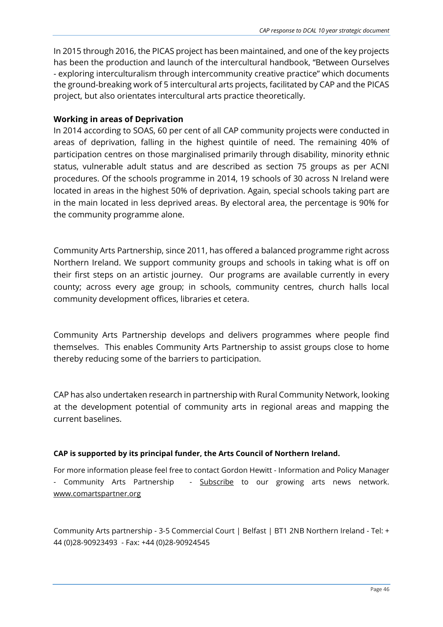In 2015 through 2016, the PICAS project has been maintained, and one of the key projects has been the production and launch of the intercultural handbook, "Between Ourselves - exploring interculturalism through intercommunity creative practice" which documents the ground-breaking work of 5 intercultural arts projects, facilitated by CAP and the PICAS project, but also orientates intercultural arts practice theoretically.

#### **Working in areas of Deprivation**

In 2014 according to SOAS, 60 per cent of all CAP community projects were conducted in areas of deprivation, falling in the highest quintile of need. The remaining 40% of participation centres on those marginalised primarily through disability, minority ethnic status, vulnerable adult status and are described as section 75 groups as per ACNI procedures. Of the schools programme in 2014, 19 schools of 30 across N Ireland were located in areas in the highest 50% of deprivation. Again, special schools taking part are in the main located in less deprived areas. By electoral area, the percentage is 90% for the community programme alone.

Community Arts Partnership, since 2011, has offered a balanced programme right across Northern Ireland. We support community groups and schools in taking what is off on their first steps on an artistic journey. Our programs are available currently in every county; across every age group; in schools, community centres, church halls local community development offices, libraries et cetera.

Community Arts Partnership develops and delivers programmes where people find themselves. This enables Community Arts Partnership to assist groups close to home thereby reducing some of the barriers to participation.

CAP has also undertaken research in partnership with Rural Community Network, looking at the development potential of community arts in regional areas and mapping the current baselines.

#### **CAP is supported by its principal funder, the Arts Council of Northern Ireland.**

For more information please feel free to contact Gordon Hewitt - Information and Policy Manager - Community Arts Partnership - [Subscribe](http://eepurl.com/jBSx5) to our growing arts news network. [www.comartspartner.org](http://comartspartner.org/)

Community Arts partnership - 3-5 Commercial Court | Belfast | BT1 2NB Northern Ireland - Tel: + 44 (0)28-90923493 - Fax: +44 (0)28-90924545